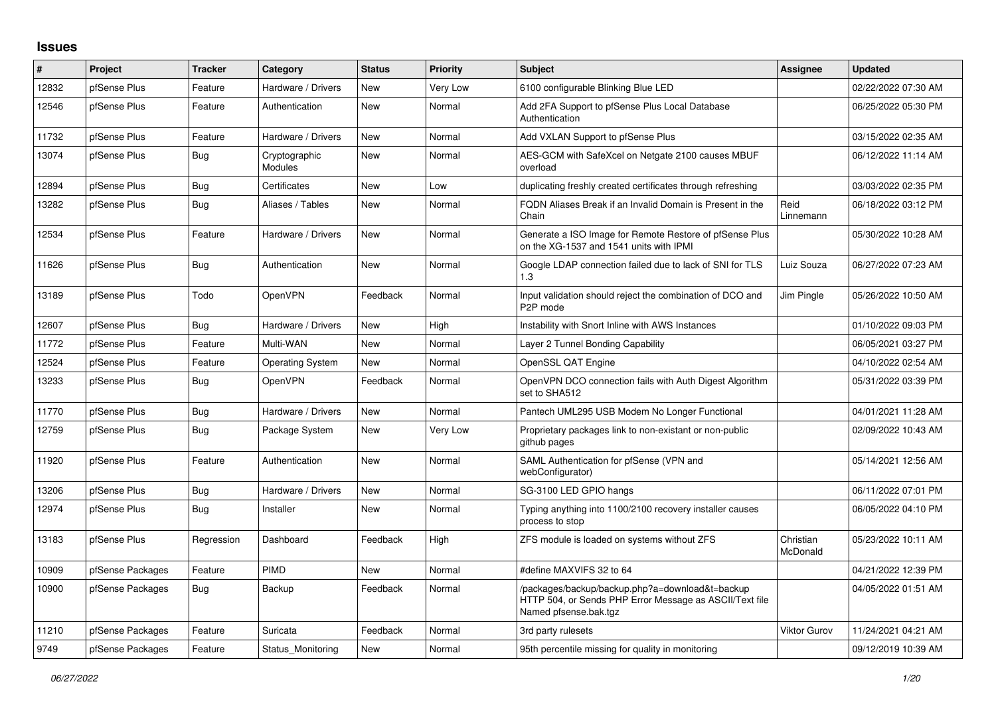## **Issues**

| ∦     | Project          | <b>Tracker</b> | Category                        | <b>Status</b> | <b>Priority</b> | <b>Subject</b>                                                                                                                      | Assignee              | <b>Updated</b>      |
|-------|------------------|----------------|---------------------------------|---------------|-----------------|-------------------------------------------------------------------------------------------------------------------------------------|-----------------------|---------------------|
| 12832 | pfSense Plus     | Feature        | Hardware / Drivers              | New           | Very Low        | 6100 configurable Blinking Blue LED                                                                                                 |                       | 02/22/2022 07:30 AM |
| 12546 | pfSense Plus     | Feature        | Authentication                  | <b>New</b>    | Normal          | Add 2FA Support to pfSense Plus Local Database<br>Authentication                                                                    |                       | 06/25/2022 05:30 PM |
| 11732 | pfSense Plus     | Feature        | Hardware / Drivers              | New           | Normal          | Add VXLAN Support to pfSense Plus                                                                                                   |                       | 03/15/2022 02:35 AM |
| 13074 | pfSense Plus     | <b>Bug</b>     | Cryptographic<br><b>Modules</b> | <b>New</b>    | Normal          | AES-GCM with SafeXcel on Netgate 2100 causes MBUF<br>overload                                                                       |                       | 06/12/2022 11:14 AM |
| 12894 | pfSense Plus     | Bug            | Certificates                    | <b>New</b>    | Low             | duplicating freshly created certificates through refreshing                                                                         |                       | 03/03/2022 02:35 PM |
| 13282 | pfSense Plus     | <b>Bug</b>     | Aliases / Tables                | New           | Normal          | FQDN Aliases Break if an Invalid Domain is Present in the<br>Chain                                                                  | Reid<br>Linnemann     | 06/18/2022 03:12 PM |
| 12534 | pfSense Plus     | Feature        | Hardware / Drivers              | <b>New</b>    | Normal          | Generate a ISO Image for Remote Restore of pfSense Plus<br>on the XG-1537 and 1541 units with IPMI                                  |                       | 05/30/2022 10:28 AM |
| 11626 | pfSense Plus     | <b>Bug</b>     | Authentication                  | New           | Normal          | Google LDAP connection failed due to lack of SNI for TLS<br>1.3                                                                     | Luiz Souza            | 06/27/2022 07:23 AM |
| 13189 | pfSense Plus     | Todo           | OpenVPN                         | Feedback      | Normal          | Input validation should reject the combination of DCO and<br>P <sub>2</sub> P mode                                                  | Jim Pingle            | 05/26/2022 10:50 AM |
| 12607 | pfSense Plus     | Bug            | Hardware / Drivers              | <b>New</b>    | High            | Instability with Snort Inline with AWS Instances                                                                                    |                       | 01/10/2022 09:03 PM |
| 11772 | pfSense Plus     | Feature        | Multi-WAN                       | <b>New</b>    | Normal          | Layer 2 Tunnel Bonding Capability                                                                                                   |                       | 06/05/2021 03:27 PM |
| 12524 | pfSense Plus     | Feature        | <b>Operating System</b>         | New           | Normal          | OpenSSL QAT Engine                                                                                                                  |                       | 04/10/2022 02:54 AM |
| 13233 | pfSense Plus     | <b>Bug</b>     | OpenVPN                         | Feedback      | Normal          | OpenVPN DCO connection fails with Auth Digest Algorithm<br>set to SHA512                                                            |                       | 05/31/2022 03:39 PM |
| 11770 | pfSense Plus     | Bug            | Hardware / Drivers              | <b>New</b>    | Normal          | Pantech UML295 USB Modem No Longer Functional                                                                                       |                       | 04/01/2021 11:28 AM |
| 12759 | pfSense Plus     | <b>Bug</b>     | Package System                  | <b>New</b>    | Very Low        | Proprietary packages link to non-existant or non-public<br>github pages                                                             |                       | 02/09/2022 10:43 AM |
| 11920 | pfSense Plus     | Feature        | Authentication                  | New           | Normal          | SAML Authentication for pfSense (VPN and<br>webConfigurator)                                                                        |                       | 05/14/2021 12:56 AM |
| 13206 | pfSense Plus     | <b>Bug</b>     | Hardware / Drivers              | <b>New</b>    | Normal          | SG-3100 LED GPIO hangs                                                                                                              |                       | 06/11/2022 07:01 PM |
| 12974 | pfSense Plus     | <b>Bug</b>     | Installer                       | <b>New</b>    | Normal          | Typing anything into 1100/2100 recovery installer causes<br>process to stop                                                         |                       | 06/05/2022 04:10 PM |
| 13183 | pfSense Plus     | Regression     | Dashboard                       | Feedback      | High            | ZFS module is loaded on systems without ZFS                                                                                         | Christian<br>McDonald | 05/23/2022 10:11 AM |
| 10909 | pfSense Packages | Feature        | PIMD                            | New           | Normal          | #define MAXVIFS 32 to 64                                                                                                            |                       | 04/21/2022 12:39 PM |
| 10900 | pfSense Packages | Bug            | Backup                          | Feedback      | Normal          | /packages/backup/backup.php?a=download&t=backup<br>HTTP 504, or Sends PHP Error Message as ASCII/Text file<br>Named pfsense.bak.tgz |                       | 04/05/2022 01:51 AM |
| 11210 | pfSense Packages | Feature        | Suricata                        | Feedback      | Normal          | 3rd party rulesets                                                                                                                  | <b>Viktor Gurov</b>   | 11/24/2021 04:21 AM |
| 9749  | pfSense Packages | Feature        | Status Monitoring               | New           | Normal          | 95th percentile missing for quality in monitoring                                                                                   |                       | 09/12/2019 10:39 AM |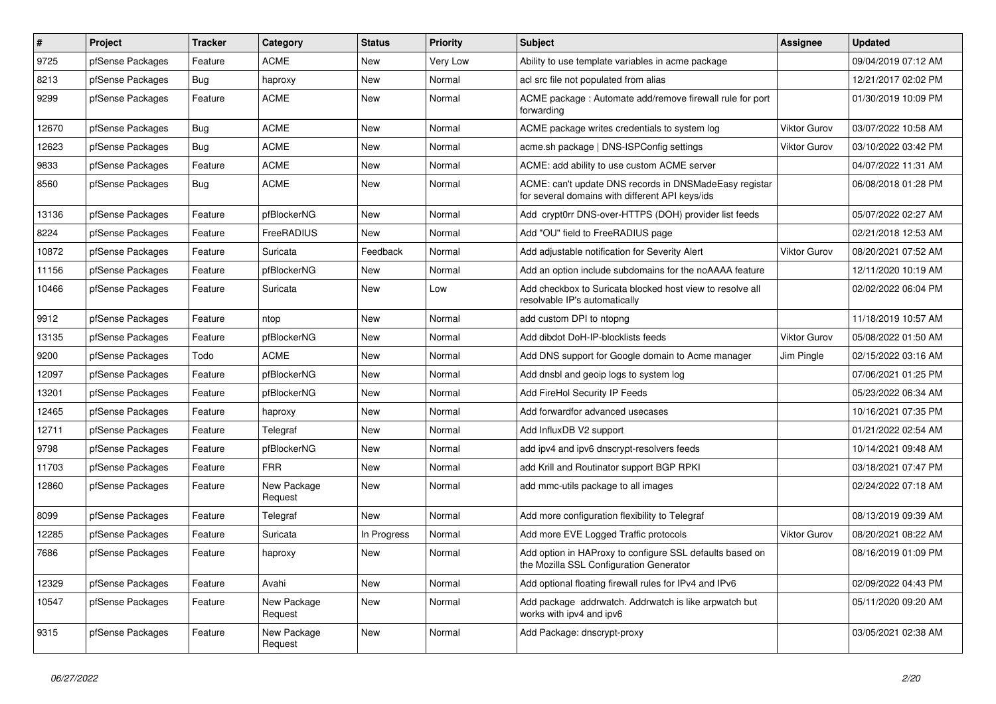| $\pmb{\#}$ | Project          | <b>Tracker</b> | Category               | <b>Status</b> | <b>Priority</b> | <b>Subject</b>                                                                                            | Assignee            | <b>Updated</b>      |
|------------|------------------|----------------|------------------------|---------------|-----------------|-----------------------------------------------------------------------------------------------------------|---------------------|---------------------|
| 9725       | pfSense Packages | Feature        | <b>ACME</b>            | <b>New</b>    | <b>Very Low</b> | Ability to use template variables in acme package                                                         |                     | 09/04/2019 07:12 AM |
| 8213       | pfSense Packages | Bug            | haproxy                | New           | Normal          | acl src file not populated from alias                                                                     |                     | 12/21/2017 02:02 PM |
| 9299       | pfSense Packages | Feature        | <b>ACME</b>            | New           | Normal          | ACME package: Automate add/remove firewall rule for port<br>forwarding                                    |                     | 01/30/2019 10:09 PM |
| 12670      | pfSense Packages | Bug            | <b>ACME</b>            | New           | Normal          | ACME package writes credentials to system log                                                             | <b>Viktor Gurov</b> | 03/07/2022 10:58 AM |
| 12623      | pfSense Packages | Bug            | <b>ACME</b>            | New           | Normal          | acme.sh package   DNS-ISPConfig settings                                                                  | <b>Viktor Gurov</b> | 03/10/2022 03:42 PM |
| 9833       | pfSense Packages | Feature        | <b>ACME</b>            | New           | Normal          | ACME: add ability to use custom ACME server                                                               |                     | 04/07/2022 11:31 AM |
| 8560       | pfSense Packages | Bug            | <b>ACME</b>            | New           | Normal          | ACME: can't update DNS records in DNSMadeEasy registar<br>for several domains with different API keys/ids |                     | 06/08/2018 01:28 PM |
| 13136      | pfSense Packages | Feature        | pfBlockerNG            | <b>New</b>    | Normal          | Add crypt0rr DNS-over-HTTPS (DOH) provider list feeds                                                     |                     | 05/07/2022 02:27 AM |
| 8224       | pfSense Packages | Feature        | FreeRADIUS             | <b>New</b>    | Normal          | Add "OU" field to FreeRADIUS page                                                                         |                     | 02/21/2018 12:53 AM |
| 10872      | pfSense Packages | Feature        | Suricata               | Feedback      | Normal          | Add adjustable notification for Severity Alert                                                            | <b>Viktor Gurov</b> | 08/20/2021 07:52 AM |
| 11156      | pfSense Packages | Feature        | pfBlockerNG            | New           | Normal          | Add an option include subdomains for the noAAAA feature                                                   |                     | 12/11/2020 10:19 AM |
| 10466      | pfSense Packages | Feature        | Suricata               | New           | Low             | Add checkbox to Suricata blocked host view to resolve all<br>resolvable IP's automatically                |                     | 02/02/2022 06:04 PM |
| 9912       | pfSense Packages | Feature        | ntop                   | New           | Normal          | add custom DPI to ntopng                                                                                  |                     | 11/18/2019 10:57 AM |
| 13135      | pfSense Packages | Feature        | pfBlockerNG            | New           | Normal          | Add dibdot DoH-IP-blocklists feeds                                                                        | <b>Viktor Gurov</b> | 05/08/2022 01:50 AM |
| 9200       | pfSense Packages | Todo           | <b>ACME</b>            | New           | Normal          | Add DNS support for Google domain to Acme manager                                                         | Jim Pingle          | 02/15/2022 03:16 AM |
| 12097      | pfSense Packages | Feature        | pfBlockerNG            | New           | Normal          | Add dnsbl and geoip logs to system log                                                                    |                     | 07/06/2021 01:25 PM |
| 13201      | pfSense Packages | Feature        | pfBlockerNG            | New           | Normal          | Add FireHol Security IP Feeds                                                                             |                     | 05/23/2022 06:34 AM |
| 12465      | pfSense Packages | Feature        | haproxy                | New           | Normal          | Add forwardfor advanced usecases                                                                          |                     | 10/16/2021 07:35 PM |
| 12711      | pfSense Packages | Feature        | Telegraf               | New           | Normal          | Add InfluxDB V2 support                                                                                   |                     | 01/21/2022 02:54 AM |
| 9798       | pfSense Packages | Feature        | pfBlockerNG            | New           | Normal          | add ipv4 and ipv6 dnscrypt-resolvers feeds                                                                |                     | 10/14/2021 09:48 AM |
| 11703      | pfSense Packages | Feature        | <b>FRR</b>             | New           | Normal          | add Krill and Routinator support BGP RPKI                                                                 |                     | 03/18/2021 07:47 PM |
| 12860      | pfSense Packages | Feature        | New Package<br>Request | New           | Normal          | add mmc-utils package to all images                                                                       |                     | 02/24/2022 07:18 AM |
| 8099       | pfSense Packages | Feature        | Telegraf               | <b>New</b>    | Normal          | Add more configuration flexibility to Telegraf                                                            |                     | 08/13/2019 09:39 AM |
| 12285      | pfSense Packages | Feature        | Suricata               | In Progress   | Normal          | Add more EVE Logged Traffic protocols                                                                     | <b>Viktor Gurov</b> | 08/20/2021 08:22 AM |
| 7686       | pfSense Packages | Feature        | haproxy                | New           | Normal          | Add option in HAProxy to configure SSL defaults based on<br>the Mozilla SSL Configuration Generator       |                     | 08/16/2019 01:09 PM |
| 12329      | pfSense Packages | Feature        | Avahi                  | New           | Normal          | Add optional floating firewall rules for IPv4 and IPv6                                                    |                     | 02/09/2022 04:43 PM |
| 10547      | pfSense Packages | Feature        | New Package<br>Request | New           | Normal          | Add package addrwatch. Addrwatch is like arpwatch but<br>works with ipv4 and ipv6                         |                     | 05/11/2020 09:20 AM |
| 9315       | pfSense Packages | Feature        | New Package<br>Request | New           | Normal          | Add Package: dnscrypt-proxy                                                                               |                     | 03/05/2021 02:38 AM |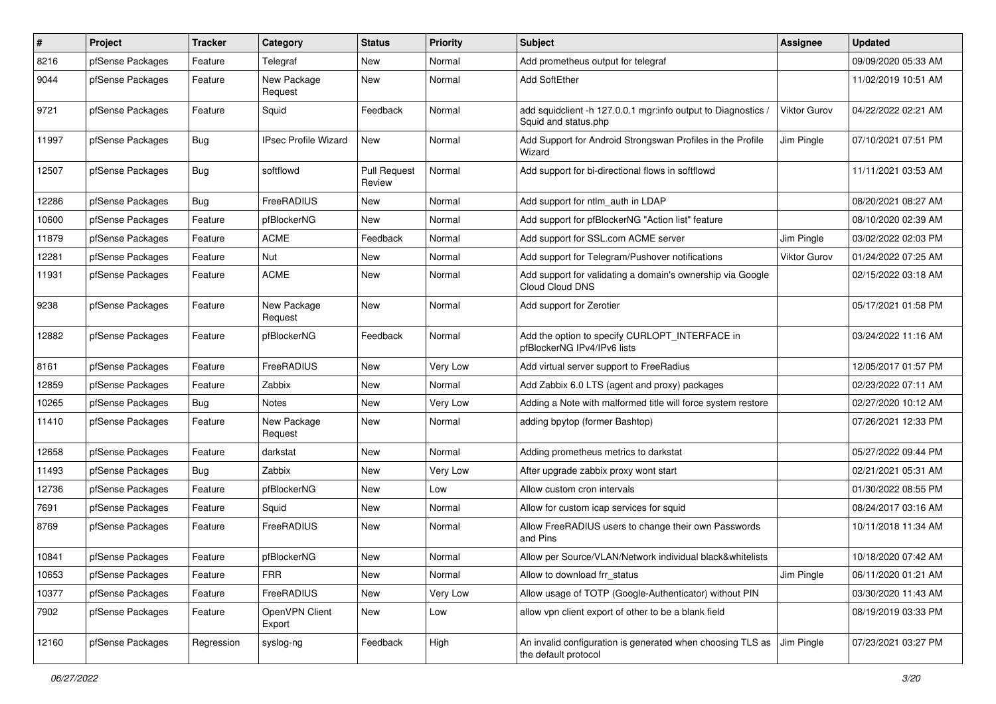| $\vert$ # | Project          | <b>Tracker</b> | Category                    | <b>Status</b>                 | <b>Priority</b> | <b>Subject</b>                                                                        | Assignee            | <b>Updated</b>      |
|-----------|------------------|----------------|-----------------------------|-------------------------------|-----------------|---------------------------------------------------------------------------------------|---------------------|---------------------|
| 8216      | pfSense Packages | Feature        | Telegraf                    | New                           | Normal          | Add prometheus output for telegraf                                                    |                     | 09/09/2020 05:33 AM |
| 9044      | pfSense Packages | Feature        | New Package<br>Request      | <b>New</b>                    | Normal          | Add SoftEther                                                                         |                     | 11/02/2019 10:51 AM |
| 9721      | pfSense Packages | Feature        | Squid                       | Feedback                      | Normal          | add squidclient -h 127.0.0.1 mgr:info output to Diagnostics /<br>Squid and status.php | <b>Viktor Gurov</b> | 04/22/2022 02:21 AM |
| 11997     | pfSense Packages | <b>Bug</b>     | <b>IPsec Profile Wizard</b> | <b>New</b>                    | Normal          | Add Support for Android Strongswan Profiles in the Profile<br>Wizard                  | Jim Pingle          | 07/10/2021 07:51 PM |
| 12507     | pfSense Packages | <b>Bug</b>     | softflowd                   | <b>Pull Request</b><br>Review | Normal          | Add support for bi-directional flows in softflowd                                     |                     | 11/11/2021 03:53 AM |
| 12286     | pfSense Packages | <b>Bug</b>     | FreeRADIUS                  | New                           | Normal          | Add support for ntlm auth in LDAP                                                     |                     | 08/20/2021 08:27 AM |
| 10600     | pfSense Packages | Feature        | pfBlockerNG                 | <b>New</b>                    | Normal          | Add support for pfBlockerNG "Action list" feature                                     |                     | 08/10/2020 02:39 AM |
| 11879     | pfSense Packages | Feature        | <b>ACME</b>                 | Feedback                      | Normal          | Add support for SSL.com ACME server                                                   | Jim Pingle          | 03/02/2022 02:03 PM |
| 12281     | pfSense Packages | Feature        | Nut                         | New                           | Normal          | Add support for Telegram/Pushover notifications                                       | <b>Viktor Gurov</b> | 01/24/2022 07:25 AM |
| 11931     | pfSense Packages | Feature        | <b>ACME</b>                 | New                           | Normal          | Add support for validating a domain's ownership via Google<br>Cloud Cloud DNS         |                     | 02/15/2022 03:18 AM |
| 9238      | pfSense Packages | Feature        | New Package<br>Request      | <b>New</b>                    | Normal          | Add support for Zerotier                                                              |                     | 05/17/2021 01:58 PM |
| 12882     | pfSense Packages | Feature        | pfBlockerNG                 | Feedback                      | Normal          | Add the option to specify CURLOPT_INTERFACE in<br>pfBlockerNG IPv4/IPv6 lists         |                     | 03/24/2022 11:16 AM |
| 8161      | pfSense Packages | Feature        | FreeRADIUS                  | New                           | Very Low        | Add virtual server support to FreeRadius                                              |                     | 12/05/2017 01:57 PM |
| 12859     | pfSense Packages | Feature        | Zabbix                      | New                           | Normal          | Add Zabbix 6.0 LTS (agent and proxy) packages                                         |                     | 02/23/2022 07:11 AM |
| 10265     | pfSense Packages | Bug            | Notes                       | New                           | Very Low        | Adding a Note with malformed title will force system restore                          |                     | 02/27/2020 10:12 AM |
| 11410     | pfSense Packages | Feature        | New Package<br>Request      | <b>New</b>                    | Normal          | adding bpytop (former Bashtop)                                                        |                     | 07/26/2021 12:33 PM |
| 12658     | pfSense Packages | Feature        | darkstat                    | New                           | Normal          | Adding prometheus metrics to darkstat                                                 |                     | 05/27/2022 09:44 PM |
| 11493     | pfSense Packages | <b>Bug</b>     | Zabbix                      | New                           | Very Low        | After upgrade zabbix proxy wont start                                                 |                     | 02/21/2021 05:31 AM |
| 12736     | pfSense Packages | Feature        | pfBlockerNG                 | <b>New</b>                    | Low             | Allow custom cron intervals                                                           |                     | 01/30/2022 08:55 PM |
| 7691      | pfSense Packages | Feature        | Squid                       | New                           | Normal          | Allow for custom icap services for squid                                              |                     | 08/24/2017 03:16 AM |
| 8769      | pfSense Packages | Feature        | FreeRADIUS                  | New                           | Normal          | Allow FreeRADIUS users to change their own Passwords<br>and Pins                      |                     | 10/11/2018 11:34 AM |
| 10841     | pfSense Packages | Feature        | pfBlockerNG                 | <b>New</b>                    | Normal          | Allow per Source/VLAN/Network individual black&whitelists                             |                     | 10/18/2020 07:42 AM |
| 10653     | pfSense Packages | Feature        | <b>FRR</b>                  | <b>New</b>                    | Normal          | Allow to download frr_status                                                          | Jim Pingle          | 06/11/2020 01:21 AM |
| 10377     | pfSense Packages | Feature        | FreeRADIUS                  | New                           | Very Low        | Allow usage of TOTP (Google-Authenticator) without PIN                                |                     | 03/30/2020 11:43 AM |
| 7902      | pfSense Packages | Feature        | OpenVPN Client<br>Export    | New                           | Low             | allow vpn client export of other to be a blank field                                  |                     | 08/19/2019 03:33 PM |
| 12160     | pfSense Packages | Regression     | syslog-ng                   | Feedback                      | High            | An invalid configuration is generated when choosing TLS as<br>the default protocol    | Jim Pingle          | 07/23/2021 03:27 PM |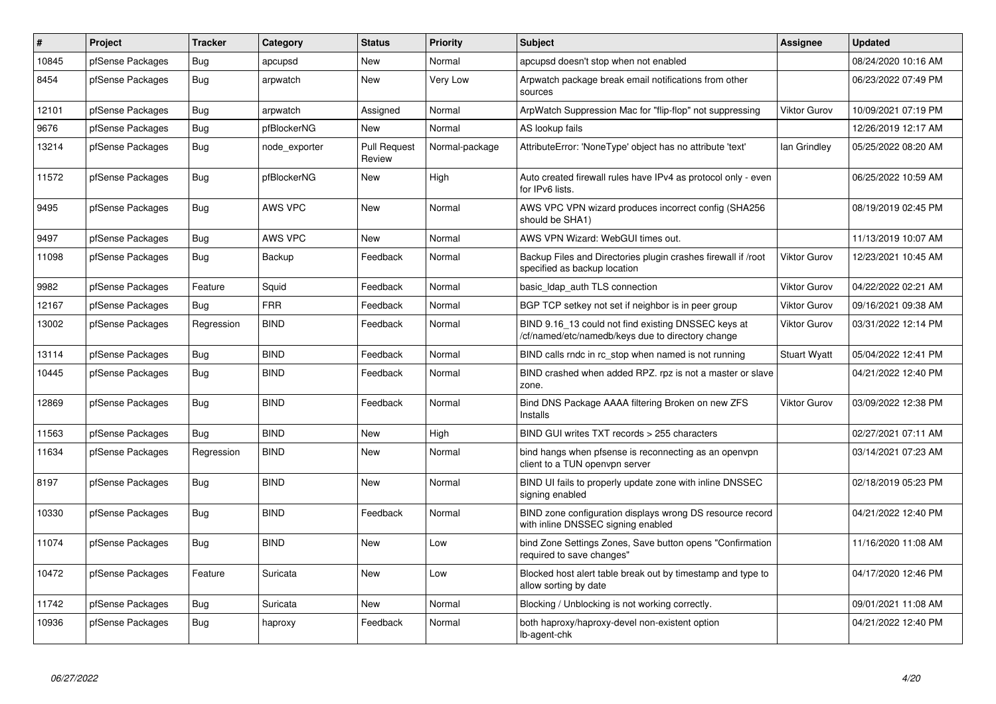| $\sharp$ | <b>Project</b>   | <b>Tracker</b> | Category       | <b>Status</b>                 | <b>Priority</b> | <b>Subject</b>                                                                                           | Assignee            | <b>Updated</b>      |
|----------|------------------|----------------|----------------|-------------------------------|-----------------|----------------------------------------------------------------------------------------------------------|---------------------|---------------------|
| 10845    | pfSense Packages | Bug            | apcupsd        | <b>New</b>                    | Normal          | apcupsd doesn't stop when not enabled                                                                    |                     | 08/24/2020 10:16 AM |
| 8454     | pfSense Packages | Bug            | arpwatch       | <b>New</b>                    | Very Low        | Arpwatch package break email notifications from other<br>sources                                         |                     | 06/23/2022 07:49 PM |
| 12101    | pfSense Packages | Bug            | arpwatch       | Assigned                      | Normal          | ArpWatch Suppression Mac for "flip-flop" not suppressing                                                 | <b>Viktor Gurov</b> | 10/09/2021 07:19 PM |
| 9676     | pfSense Packages | <b>Bug</b>     | pfBlockerNG    | <b>New</b>                    | Normal          | AS lookup fails                                                                                          |                     | 12/26/2019 12:17 AM |
| 13214    | pfSense Packages | <b>Bug</b>     | node exporter  | <b>Pull Request</b><br>Review | Normal-package  | AttributeError: 'NoneType' object has no attribute 'text'                                                | lan Grindley        | 05/25/2022 08:20 AM |
| 11572    | pfSense Packages | <b>Bug</b>     | pfBlockerNG    | <b>New</b>                    | High            | Auto created firewall rules have IPv4 as protocol only - even<br>for IPv6 lists.                         |                     | 06/25/2022 10:59 AM |
| 9495     | pfSense Packages | Bug            | <b>AWS VPC</b> | <b>New</b>                    | Normal          | AWS VPC VPN wizard produces incorrect config (SHA256<br>should be SHA1)                                  |                     | 08/19/2019 02:45 PM |
| 9497     | pfSense Packages | Bug            | <b>AWS VPC</b> | New                           | Normal          | AWS VPN Wizard: WebGUI times out.                                                                        |                     | 11/13/2019 10:07 AM |
| 11098    | pfSense Packages | Bug            | Backup         | Feedback                      | Normal          | Backup Files and Directories plugin crashes firewall if /root<br>specified as backup location            | <b>Viktor Gurov</b> | 12/23/2021 10:45 AM |
| 9982     | pfSense Packages | Feature        | Squid          | Feedback                      | Normal          | basic_Idap_auth TLS connection                                                                           | <b>Viktor Gurov</b> | 04/22/2022 02:21 AM |
| 12167    | pfSense Packages | Bug            | <b>FRR</b>     | Feedback                      | Normal          | BGP TCP setkey not set if neighbor is in peer group                                                      | <b>Viktor Gurov</b> | 09/16/2021 09:38 AM |
| 13002    | pfSense Packages | Regression     | <b>BIND</b>    | Feedback                      | Normal          | BIND 9.16_13 could not find existing DNSSEC keys at<br>/cf/named/etc/namedb/keys due to directory change | <b>Viktor Gurov</b> | 03/31/2022 12:14 PM |
| 13114    | pfSense Packages | Bug            | <b>BIND</b>    | Feedback                      | Normal          | BIND calls rndc in rc stop when named is not running                                                     | <b>Stuart Wyatt</b> | 05/04/2022 12:41 PM |
| 10445    | pfSense Packages | <b>Bug</b>     | <b>BIND</b>    | Feedback                      | Normal          | BIND crashed when added RPZ. rpz is not a master or slave<br>zone.                                       |                     | 04/21/2022 12:40 PM |
| 12869    | pfSense Packages | Bug            | <b>BIND</b>    | Feedback                      | Normal          | Bind DNS Package AAAA filtering Broken on new ZFS<br>Installs                                            | <b>Viktor Gurov</b> | 03/09/2022 12:38 PM |
| 11563    | pfSense Packages | Bug            | <b>BIND</b>    | New                           | High            | BIND GUI writes TXT records > 255 characters                                                             |                     | 02/27/2021 07:11 AM |
| 11634    | pfSense Packages | Regression     | <b>BIND</b>    | New                           | Normal          | bind hangs when pfsense is reconnecting as an openypn<br>client to a TUN openvpn server                  |                     | 03/14/2021 07:23 AM |
| 8197     | pfSense Packages | Bug            | <b>BIND</b>    | New                           | Normal          | BIND UI fails to properly update zone with inline DNSSEC<br>signing enabled                              |                     | 02/18/2019 05:23 PM |
| 10330    | pfSense Packages | Bug            | <b>BIND</b>    | Feedback                      | Normal          | BIND zone configuration displays wrong DS resource record<br>with inline DNSSEC signing enabled          |                     | 04/21/2022 12:40 PM |
| 11074    | pfSense Packages | Bug            | <b>BIND</b>    | <b>New</b>                    | Low             | bind Zone Settings Zones, Save button opens "Confirmation<br>required to save changes"                   |                     | 11/16/2020 11:08 AM |
| 10472    | pfSense Packages | Feature        | Suricata       | <b>New</b>                    | Low             | Blocked host alert table break out by timestamp and type to<br>allow sorting by date                     |                     | 04/17/2020 12:46 PM |
| 11742    | pfSense Packages | Bug            | Suricata       | New                           | Normal          | Blocking / Unblocking is not working correctly.                                                          |                     | 09/01/2021 11:08 AM |
| 10936    | pfSense Packages | Bug            | haproxy        | Feedback                      | Normal          | both haproxy/haproxy-devel non-existent option<br>lb-agent-chk                                           |                     | 04/21/2022 12:40 PM |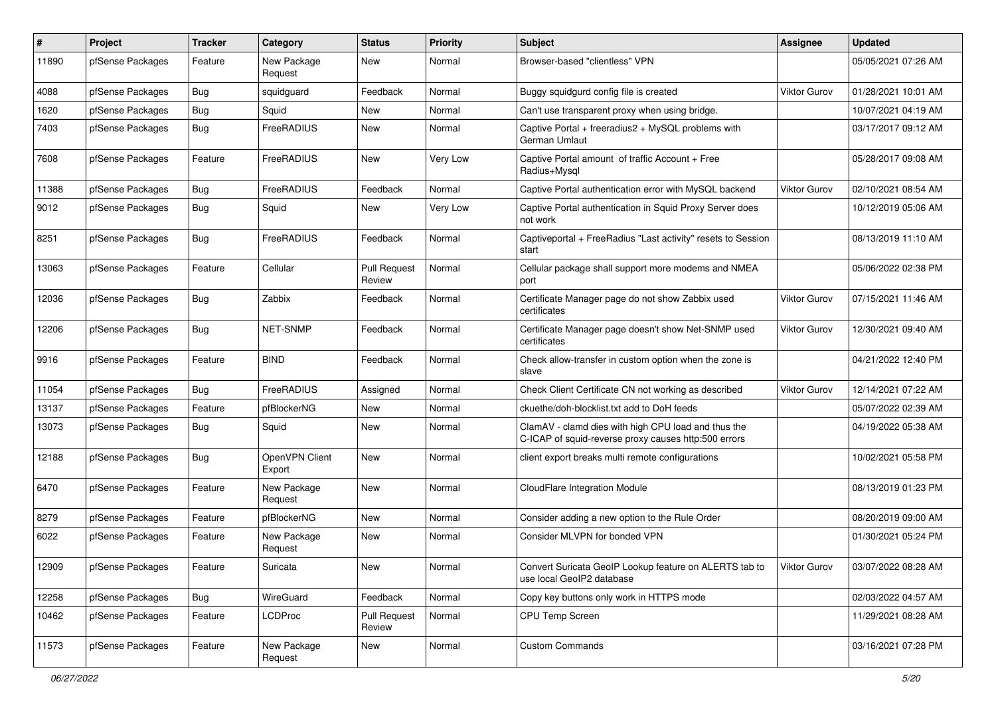| #     | Project          | <b>Tracker</b> | Category                 | <b>Status</b>                 | <b>Priority</b> | <b>Subject</b>                                                                                              | <b>Assignee</b>     | <b>Updated</b>      |
|-------|------------------|----------------|--------------------------|-------------------------------|-----------------|-------------------------------------------------------------------------------------------------------------|---------------------|---------------------|
| 11890 | pfSense Packages | Feature        | New Package<br>Request   | New                           | Normal          | Browser-based "clientless" VPN                                                                              |                     | 05/05/2021 07:26 AM |
| 4088  | pfSense Packages | <b>Bug</b>     | squidguard               | Feedback                      | Normal          | Buggy squidgurd config file is created                                                                      | <b>Viktor Gurov</b> | 01/28/2021 10:01 AM |
| 1620  | pfSense Packages | <b>Bug</b>     | Squid                    | <b>New</b>                    | Normal          | Can't use transparent proxy when using bridge.                                                              |                     | 10/07/2021 04:19 AM |
| 7403  | pfSense Packages | Bug            | FreeRADIUS               | New                           | Normal          | Captive Portal + freeradius2 + MySQL problems with<br>German Umlaut                                         |                     | 03/17/2017 09:12 AM |
| 7608  | pfSense Packages | Feature        | FreeRADIUS               | <b>New</b>                    | Very Low        | Captive Portal amount of traffic Account + Free<br>Radius+Mysql                                             |                     | 05/28/2017 09:08 AM |
| 11388 | pfSense Packages | Bug            | FreeRADIUS               | Feedback                      | Normal          | Captive Portal authentication error with MySQL backend                                                      | <b>Viktor Gurov</b> | 02/10/2021 08:54 AM |
| 9012  | pfSense Packages | <b>Bug</b>     | Squid                    | New                           | Very Low        | Captive Portal authentication in Squid Proxy Server does<br>not work                                        |                     | 10/12/2019 05:06 AM |
| 8251  | pfSense Packages | Bug            | FreeRADIUS               | Feedback                      | Normal          | Captiveportal + FreeRadius "Last activity" resets to Session<br>start                                       |                     | 08/13/2019 11:10 AM |
| 13063 | pfSense Packages | Feature        | Cellular                 | <b>Pull Request</b><br>Review | Normal          | Cellular package shall support more modems and NMEA<br>port                                                 |                     | 05/06/2022 02:38 PM |
| 12036 | pfSense Packages | Bug            | Zabbix                   | Feedback                      | Normal          | Certificate Manager page do not show Zabbix used<br>certificates                                            | <b>Viktor Gurov</b> | 07/15/2021 11:46 AM |
| 12206 | pfSense Packages | <b>Bug</b>     | NET-SNMP                 | Feedback                      | Normal          | Certificate Manager page doesn't show Net-SNMP used<br>certificates                                         | Viktor Gurov        | 12/30/2021 09:40 AM |
| 9916  | pfSense Packages | Feature        | <b>BIND</b>              | Feedback                      | Normal          | Check allow-transfer in custom option when the zone is<br>slave                                             |                     | 04/21/2022 12:40 PM |
| 11054 | pfSense Packages | <b>Bug</b>     | FreeRADIUS               | Assigned                      | Normal          | Check Client Certificate CN not working as described                                                        | Viktor Gurov        | 12/14/2021 07:22 AM |
| 13137 | pfSense Packages | Feature        | pfBlockerNG              | New                           | Normal          | ckuethe/doh-blocklist.txt add to DoH feeds                                                                  |                     | 05/07/2022 02:39 AM |
| 13073 | pfSense Packages | Bug            | Squid                    | New                           | Normal          | ClamAV - clamd dies with high CPU load and thus the<br>C-ICAP of squid-reverse proxy causes http:500 errors |                     | 04/19/2022 05:38 AM |
| 12188 | pfSense Packages | <b>Bug</b>     | OpenVPN Client<br>Export | <b>New</b>                    | Normal          | client export breaks multi remote configurations                                                            |                     | 10/02/2021 05:58 PM |
| 6470  | pfSense Packages | Feature        | New Package<br>Request   | <b>New</b>                    | Normal          | CloudFlare Integration Module                                                                               |                     | 08/13/2019 01:23 PM |
| 8279  | pfSense Packages | Feature        | pfBlockerNG              | New                           | Normal          | Consider adding a new option to the Rule Order                                                              |                     | 08/20/2019 09:00 AM |
| 6022  | pfSense Packages | Feature        | New Package<br>Request   | New                           | Normal          | Consider MLVPN for bonded VPN                                                                               |                     | 01/30/2021 05:24 PM |
| 12909 | pfSense Packages | Feature        | Suricata                 | New                           | Normal          | Convert Suricata GeoIP Lookup feature on ALERTS tab to<br>use local GeoIP2 database                         | <b>Viktor Gurov</b> | 03/07/2022 08:28 AM |
| 12258 | pfSense Packages | <b>Bug</b>     | WireGuard                | Feedback                      | Normal          | Copy key buttons only work in HTTPS mode                                                                    |                     | 02/03/2022 04:57 AM |
| 10462 | pfSense Packages | Feature        | <b>LCDProc</b>           | <b>Pull Request</b><br>Review | Normal          | CPU Temp Screen                                                                                             |                     | 11/29/2021 08:28 AM |
| 11573 | pfSense Packages | Feature        | New Package<br>Request   | New                           | Normal          | <b>Custom Commands</b>                                                                                      |                     | 03/16/2021 07:28 PM |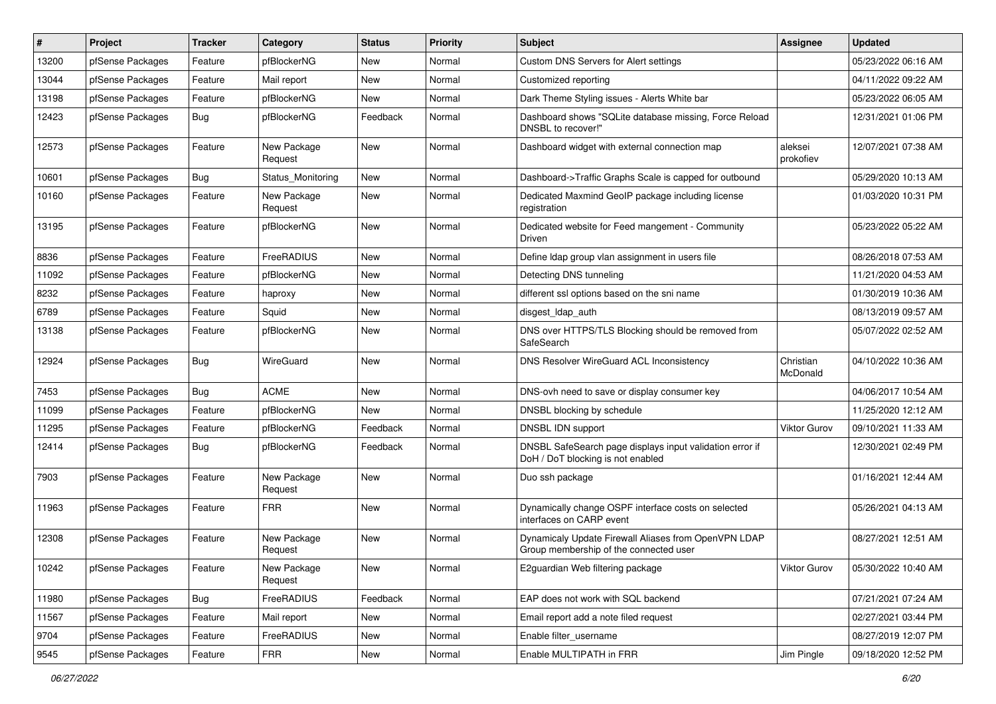| #     | Project          | <b>Tracker</b> | Category               | <b>Status</b> | <b>Priority</b> | <b>Subject</b>                                                                                 | <b>Assignee</b>       | <b>Updated</b>      |
|-------|------------------|----------------|------------------------|---------------|-----------------|------------------------------------------------------------------------------------------------|-----------------------|---------------------|
| 13200 | pfSense Packages | Feature        | pfBlockerNG            | New           | Normal          | Custom DNS Servers for Alert settings                                                          |                       | 05/23/2022 06:16 AM |
| 13044 | pfSense Packages | Feature        | Mail report            | <b>New</b>    | Normal          | Customized reporting                                                                           |                       | 04/11/2022 09:22 AM |
| 13198 | pfSense Packages | Feature        | pfBlockerNG            | New           | Normal          | Dark Theme Styling issues - Alerts White bar                                                   |                       | 05/23/2022 06:05 AM |
| 12423 | pfSense Packages | Bug            | pfBlockerNG            | Feedback      | Normal          | Dashboard shows "SQLite database missing, Force Reload<br>DNSBL to recover!"                   |                       | 12/31/2021 01:06 PM |
| 12573 | pfSense Packages | Feature        | New Package<br>Request | <b>New</b>    | Normal          | Dashboard widget with external connection map                                                  | aleksei<br>prokofiev  | 12/07/2021 07:38 AM |
| 10601 | pfSense Packages | <b>Bug</b>     | Status_Monitoring      | New           | Normal          | Dashboard->Traffic Graphs Scale is capped for outbound                                         |                       | 05/29/2020 10:13 AM |
| 10160 | pfSense Packages | Feature        | New Package<br>Request | New           | Normal          | Dedicated Maxmind GeoIP package including license<br>registration                              |                       | 01/03/2020 10:31 PM |
| 13195 | pfSense Packages | Feature        | pfBlockerNG            | New           | Normal          | Dedicated website for Feed mangement - Community<br>Driven                                     |                       | 05/23/2022 05:22 AM |
| 8836  | pfSense Packages | Feature        | FreeRADIUS             | New           | Normal          | Define Idap group vlan assignment in users file                                                |                       | 08/26/2018 07:53 AM |
| 11092 | pfSense Packages | Feature        | pfBlockerNG            | New           | Normal          | Detecting DNS tunneling                                                                        |                       | 11/21/2020 04:53 AM |
| 8232  | pfSense Packages | Feature        | haproxy                | New           | Normal          | different ssl options based on the sni name                                                    |                       | 01/30/2019 10:36 AM |
| 6789  | pfSense Packages | Feature        | Squid                  | New           | Normal          | disgest_ldap_auth                                                                              |                       | 08/13/2019 09:57 AM |
| 13138 | pfSense Packages | Feature        | pfBlockerNG            | New           | Normal          | DNS over HTTPS/TLS Blocking should be removed from<br>SafeSearch                               |                       | 05/07/2022 02:52 AM |
| 12924 | pfSense Packages | <b>Bug</b>     | WireGuard              | <b>New</b>    | Normal          | DNS Resolver WireGuard ACL Inconsistency                                                       | Christian<br>McDonald | 04/10/2022 10:36 AM |
| 7453  | pfSense Packages | Bug            | <b>ACME</b>            | New           | Normal          | DNS-ovh need to save or display consumer key                                                   |                       | 04/06/2017 10:54 AM |
| 11099 | pfSense Packages | Feature        | pfBlockerNG            | New           | Normal          | DNSBL blocking by schedule                                                                     |                       | 11/25/2020 12:12 AM |
| 11295 | pfSense Packages | Feature        | pfBlockerNG            | Feedback      | Normal          | DNSBL IDN support                                                                              | <b>Viktor Gurov</b>   | 09/10/2021 11:33 AM |
| 12414 | pfSense Packages | <b>Bug</b>     | pfBlockerNG            | Feedback      | Normal          | DNSBL SafeSearch page displays input validation error if<br>DoH / DoT blocking is not enabled  |                       | 12/30/2021 02:49 PM |
| 7903  | pfSense Packages | Feature        | New Package<br>Request | New           | Normal          | Duo ssh package                                                                                |                       | 01/16/2021 12:44 AM |
| 11963 | pfSense Packages | Feature        | <b>FRR</b>             | New           | Normal          | Dynamically change OSPF interface costs on selected<br>interfaces on CARP event                |                       | 05/26/2021 04:13 AM |
| 12308 | pfSense Packages | Feature        | New Package<br>Request | New           | Normal          | Dynamicaly Update Firewall Aliases from OpenVPN LDAP<br>Group membership of the connected user |                       | 08/27/2021 12:51 AM |
| 10242 | pfSense Packages | Feature        | New Package<br>Request | New           | Normal          | E2guardian Web filtering package                                                               | Viktor Gurov          | 05/30/2022 10:40 AM |
| 11980 | pfSense Packages | Bug            | FreeRADIUS             | Feedback      | Normal          | EAP does not work with SQL backend                                                             |                       | 07/21/2021 07:24 AM |
| 11567 | pfSense Packages | Feature        | Mail report            | New           | Normal          | Email report add a note filed request                                                          |                       | 02/27/2021 03:44 PM |
| 9704  | pfSense Packages | Feature        | FreeRADIUS             | New           | Normal          | Enable filter username                                                                         |                       | 08/27/2019 12:07 PM |
| 9545  | pfSense Packages | Feature        | <b>FRR</b>             | New           | Normal          | Enable MULTIPATH in FRR                                                                        | Jim Pingle            | 09/18/2020 12:52 PM |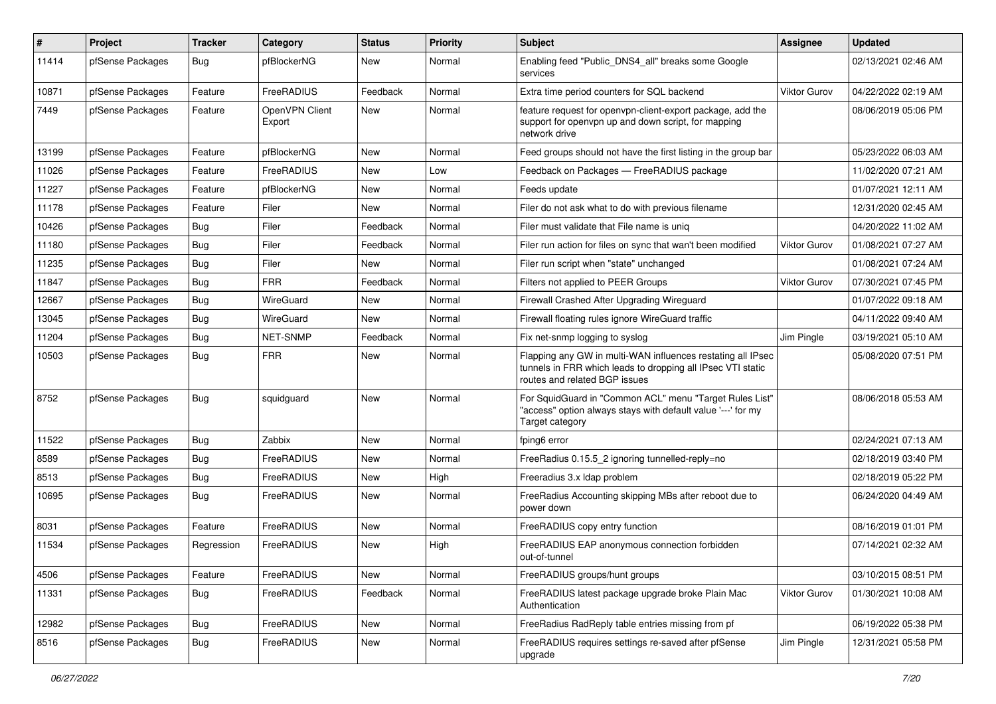| $\pmb{\#}$ | Project          | <b>Tracker</b> | Category                 | <b>Status</b> | Priority | <b>Subject</b>                                                                                                                                              | <b>Assignee</b>     | <b>Updated</b>      |
|------------|------------------|----------------|--------------------------|---------------|----------|-------------------------------------------------------------------------------------------------------------------------------------------------------------|---------------------|---------------------|
| 11414      | pfSense Packages | <b>Bug</b>     | pfBlockerNG              | <b>New</b>    | Normal   | Enabling feed "Public_DNS4_all" breaks some Google<br>services                                                                                              |                     | 02/13/2021 02:46 AM |
| 10871      | pfSense Packages | Feature        | FreeRADIUS               | Feedback      | Normal   | Extra time period counters for SQL backend                                                                                                                  | <b>Viktor Gurov</b> | 04/22/2022 02:19 AM |
| 7449       | pfSense Packages | Feature        | OpenVPN Client<br>Export | New           | Normal   | feature request for openypn-client-export package, add the<br>support for openypn up and down script, for mapping<br>network drive                          |                     | 08/06/2019 05:06 PM |
| 13199      | pfSense Packages | Feature        | pfBlockerNG              | New           | Normal   | Feed groups should not have the first listing in the group bar                                                                                              |                     | 05/23/2022 06:03 AM |
| 11026      | pfSense Packages | Feature        | FreeRADIUS               | <b>New</b>    | Low      | Feedback on Packages - FreeRADIUS package                                                                                                                   |                     | 11/02/2020 07:21 AM |
| 11227      | pfSense Packages | Feature        | pfBlockerNG              | <b>New</b>    | Normal   | Feeds update                                                                                                                                                |                     | 01/07/2021 12:11 AM |
| 11178      | pfSense Packages | Feature        | Filer                    | <b>New</b>    | Normal   | Filer do not ask what to do with previous filename                                                                                                          |                     | 12/31/2020 02:45 AM |
| 10426      | pfSense Packages | <b>Bug</b>     | Filer                    | Feedback      | Normal   | Filer must validate that File name is unig                                                                                                                  |                     | 04/20/2022 11:02 AM |
| 11180      | pfSense Packages | Bug            | Filer                    | Feedback      | Normal   | Filer run action for files on sync that wan't been modified                                                                                                 | Viktor Gurov        | 01/08/2021 07:27 AM |
| 11235      | pfSense Packages | <b>Bug</b>     | Filer                    | <b>New</b>    | Normal   | Filer run script when "state" unchanged                                                                                                                     |                     | 01/08/2021 07:24 AM |
| 11847      | pfSense Packages | Bug            | <b>FRR</b>               | Feedback      | Normal   | Filters not applied to PEER Groups                                                                                                                          | Viktor Gurov        | 07/30/2021 07:45 PM |
| 12667      | pfSense Packages | <b>Bug</b>     | WireGuard                | <b>New</b>    | Normal   | Firewall Crashed After Upgrading Wireguard                                                                                                                  |                     | 01/07/2022 09:18 AM |
| 13045      | pfSense Packages | Bug            | WireGuard                | New           | Normal   | Firewall floating rules ignore WireGuard traffic                                                                                                            |                     | 04/11/2022 09:40 AM |
| 11204      | pfSense Packages | <b>Bug</b>     | NET-SNMP                 | Feedback      | Normal   | Fix net-snmp logging to syslog                                                                                                                              | Jim Pingle          | 03/19/2021 05:10 AM |
| 10503      | pfSense Packages | Bug            | <b>FRR</b>               | New           | Normal   | Flapping any GW in multi-WAN influences restating all IPsec<br>tunnels in FRR which leads to dropping all IPsec VTI static<br>routes and related BGP issues |                     | 05/08/2020 07:51 PM |
| 8752       | pfSense Packages | <b>Bug</b>     | squidguard               | <b>New</b>    | Normal   | For SquidGuard in "Common ACL" menu "Target Rules List"<br>"access" option always stays with default value '---' for my<br>Target category                  |                     | 08/06/2018 05:53 AM |
| 11522      | pfSense Packages | Bug            | Zabbix                   | <b>New</b>    | Normal   | fping6 error                                                                                                                                                |                     | 02/24/2021 07:13 AM |
| 8589       | pfSense Packages | <b>Bug</b>     | FreeRADIUS               | New           | Normal   | FreeRadius 0.15.5 2 ignoring tunnelled-reply=no                                                                                                             |                     | 02/18/2019 03:40 PM |
| 8513       | pfSense Packages | <b>Bug</b>     | FreeRADIUS               | <b>New</b>    | High     | Freeradius 3.x Idap problem                                                                                                                                 |                     | 02/18/2019 05:22 PM |
| 10695      | pfSense Packages | Bug            | FreeRADIUS               | New           | Normal   | FreeRadius Accounting skipping MBs after reboot due to<br>power down                                                                                        |                     | 06/24/2020 04:49 AM |
| 8031       | pfSense Packages | Feature        | FreeRADIUS               | New           | Normal   | FreeRADIUS copy entry function                                                                                                                              |                     | 08/16/2019 01:01 PM |
| 11534      | pfSense Packages | Regression     | FreeRADIUS               | New           | High     | FreeRADIUS EAP anonymous connection forbidden<br>out-of-tunnel                                                                                              |                     | 07/14/2021 02:32 AM |
| 4506       | pfSense Packages | Feature        | FreeRADIUS               | New           | Normal   | FreeRADIUS groups/hunt groups                                                                                                                               |                     | 03/10/2015 08:51 PM |
| 11331      | pfSense Packages | Bug            | FreeRADIUS               | Feedback      | Normal   | FreeRADIUS latest package upgrade broke Plain Mac<br>Authentication                                                                                         | Viktor Gurov        | 01/30/2021 10:08 AM |
| 12982      | pfSense Packages | Bug            | FreeRADIUS               | New           | Normal   | FreeRadius RadReply table entries missing from pf                                                                                                           |                     | 06/19/2022 05:38 PM |
| 8516       | pfSense Packages | <b>Bug</b>     | FreeRADIUS               | New           | Normal   | FreeRADIUS requires settings re-saved after pfSense<br>upgrade                                                                                              | Jim Pingle          | 12/31/2021 05:58 PM |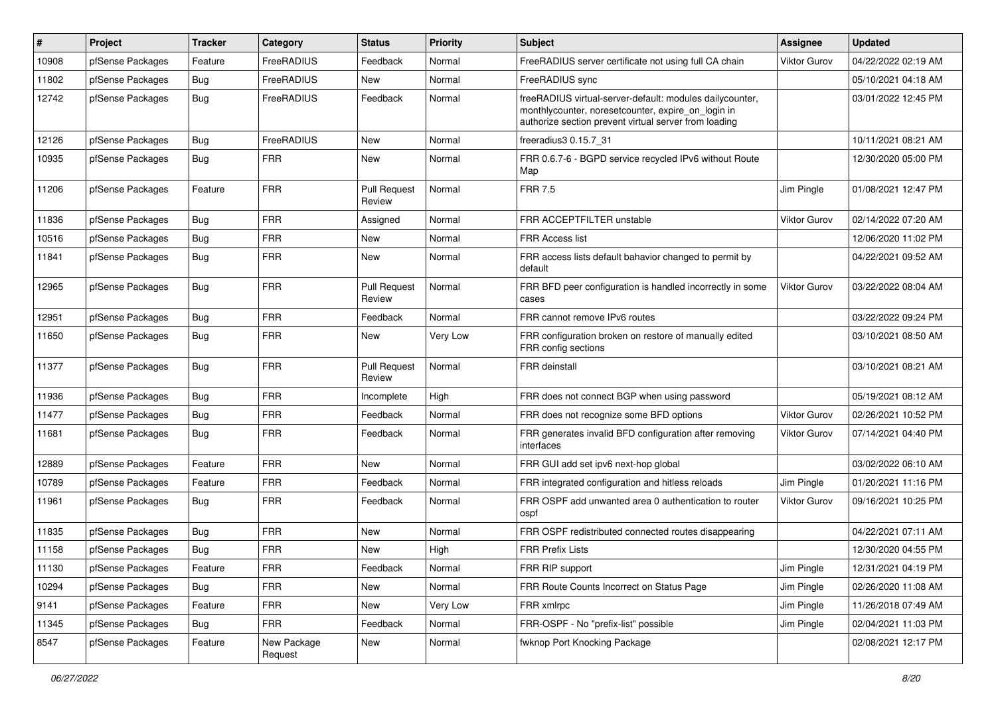| #     | Project          | <b>Tracker</b> | Category               | <b>Status</b>                 | Priority | <b>Subject</b>                                                                                                                                                          | Assignee            | <b>Updated</b>      |
|-------|------------------|----------------|------------------------|-------------------------------|----------|-------------------------------------------------------------------------------------------------------------------------------------------------------------------------|---------------------|---------------------|
| 10908 | pfSense Packages | Feature        | FreeRADIUS             | Feedback                      | Normal   | FreeRADIUS server certificate not using full CA chain                                                                                                                   | Viktor Gurov        | 04/22/2022 02:19 AM |
| 11802 | pfSense Packages | Bug            | FreeRADIUS             | <b>New</b>                    | Normal   | FreeRADIUS sync                                                                                                                                                         |                     | 05/10/2021 04:18 AM |
| 12742 | pfSense Packages | Bug            | FreeRADIUS             | Feedback                      | Normal   | freeRADIUS virtual-server-default: modules dailycounter,<br>monthlycounter, noresetcounter, expire_on_login in<br>authorize section prevent virtual server from loading |                     | 03/01/2022 12:45 PM |
| 12126 | pfSense Packages | Bug            | FreeRADIUS             | <b>New</b>                    | Normal   | freeradius3 0.15.7_31                                                                                                                                                   |                     | 10/11/2021 08:21 AM |
| 10935 | pfSense Packages | <b>Bug</b>     | <b>FRR</b>             | New                           | Normal   | FRR 0.6.7-6 - BGPD service recycled IPv6 without Route<br>Map                                                                                                           |                     | 12/30/2020 05:00 PM |
| 11206 | pfSense Packages | Feature        | <b>FRR</b>             | <b>Pull Request</b><br>Review | Normal   | <b>FRR 7.5</b>                                                                                                                                                          | Jim Pingle          | 01/08/2021 12:47 PM |
| 11836 | pfSense Packages | Bug            | <b>FRR</b>             | Assigned                      | Normal   | FRR ACCEPTFILTER unstable                                                                                                                                               | Viktor Gurov        | 02/14/2022 07:20 AM |
| 10516 | pfSense Packages | Bug            | <b>FRR</b>             | New                           | Normal   | <b>FRR Access list</b>                                                                                                                                                  |                     | 12/06/2020 11:02 PM |
| 11841 | pfSense Packages | <b>Bug</b>     | <b>FRR</b>             | New                           | Normal   | FRR access lists default bahavior changed to permit by<br>default                                                                                                       |                     | 04/22/2021 09:52 AM |
| 12965 | pfSense Packages | <b>Bug</b>     | <b>FRR</b>             | <b>Pull Request</b><br>Review | Normal   | FRR BFD peer configuration is handled incorrectly in some<br>cases                                                                                                      | <b>Viktor Gurov</b> | 03/22/2022 08:04 AM |
| 12951 | pfSense Packages | Bug            | <b>FRR</b>             | Feedback                      | Normal   | FRR cannot remove IPv6 routes                                                                                                                                           |                     | 03/22/2022 09:24 PM |
| 11650 | pfSense Packages | Bug            | <b>FRR</b>             | New                           | Very Low | FRR configuration broken on restore of manually edited<br>FRR config sections                                                                                           |                     | 03/10/2021 08:50 AM |
| 11377 | pfSense Packages | Bug            | <b>FRR</b>             | <b>Pull Request</b><br>Review | Normal   | <b>FRR</b> deinstall                                                                                                                                                    |                     | 03/10/2021 08:21 AM |
| 11936 | pfSense Packages | Bug            | <b>FRR</b>             | Incomplete                    | High     | FRR does not connect BGP when using password                                                                                                                            |                     | 05/19/2021 08:12 AM |
| 11477 | pfSense Packages | Bug            | <b>FRR</b>             | Feedback                      | Normal   | FRR does not recognize some BFD options                                                                                                                                 | Viktor Gurov        | 02/26/2021 10:52 PM |
| 11681 | pfSense Packages | Bug            | <b>FRR</b>             | Feedback                      | Normal   | FRR generates invalid BFD configuration after removing<br>interfaces                                                                                                    | <b>Viktor Gurov</b> | 07/14/2021 04:40 PM |
| 12889 | pfSense Packages | Feature        | <b>FRR</b>             | New                           | Normal   | FRR GUI add set ipv6 next-hop global                                                                                                                                    |                     | 03/02/2022 06:10 AM |
| 10789 | pfSense Packages | Feature        | <b>FRR</b>             | Feedback                      | Normal   | FRR integrated configuration and hitless reloads                                                                                                                        | Jim Pingle          | 01/20/2021 11:16 PM |
| 11961 | pfSense Packages | <b>Bug</b>     | <b>FRR</b>             | Feedback                      | Normal   | FRR OSPF add unwanted area 0 authentication to router<br>ospf                                                                                                           | <b>Viktor Gurov</b> | 09/16/2021 10:25 PM |
| 11835 | pfSense Packages | <b>Bug</b>     | <b>FRR</b>             | New                           | Normal   | FRR OSPF redistributed connected routes disappearing                                                                                                                    |                     | 04/22/2021 07:11 AM |
| 11158 | pfSense Packages | Bug            | <b>FRR</b>             | New                           | High     | <b>FRR Prefix Lists</b>                                                                                                                                                 |                     | 12/30/2020 04:55 PM |
| 11130 | pfSense Packages | Feature        | <b>FRR</b>             | Feedback                      | Normal   | FRR RIP support                                                                                                                                                         | Jim Pingle          | 12/31/2021 04:19 PM |
| 10294 | pfSense Packages | Bug            | <b>FRR</b>             | New                           | Normal   | FRR Route Counts Incorrect on Status Page                                                                                                                               | Jim Pingle          | 02/26/2020 11:08 AM |
| 9141  | pfSense Packages | Feature        | <b>FRR</b>             | New                           | Very Low | FRR xmlrpc                                                                                                                                                              | Jim Pingle          | 11/26/2018 07:49 AM |
| 11345 | pfSense Packages | Bug            | <b>FRR</b>             | Feedback                      | Normal   | FRR-OSPF - No "prefix-list" possible                                                                                                                                    | Jim Pingle          | 02/04/2021 11:03 PM |
| 8547  | pfSense Packages | Feature        | New Package<br>Request | New                           | Normal   | fwknop Port Knocking Package                                                                                                                                            |                     | 02/08/2021 12:17 PM |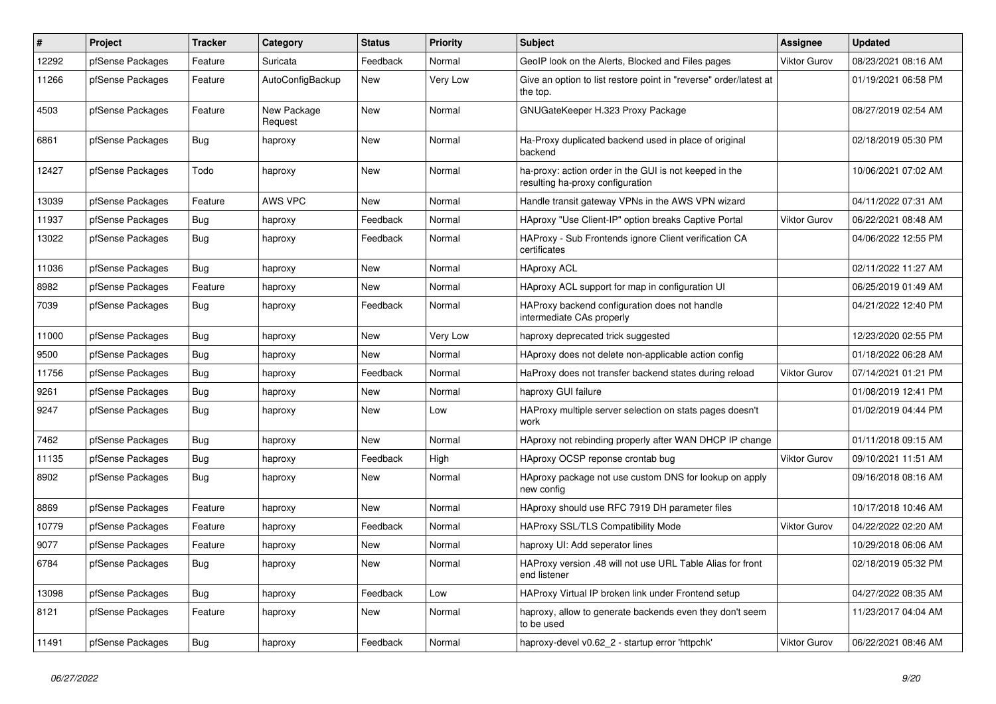| $\sharp$ | <b>Project</b>   | <b>Tracker</b> | Category               | <b>Status</b> | <b>Priority</b> | <b>Subject</b>                                                                             | <b>Assignee</b>     | <b>Updated</b>      |
|----------|------------------|----------------|------------------------|---------------|-----------------|--------------------------------------------------------------------------------------------|---------------------|---------------------|
| 12292    | pfSense Packages | Feature        | Suricata               | Feedback      | Normal          | GeoIP look on the Alerts, Blocked and Files pages                                          | <b>Viktor Gurov</b> | 08/23/2021 08:16 AM |
| 11266    | pfSense Packages | Feature        | AutoConfigBackup       | <b>New</b>    | Very Low        | Give an option to list restore point in "reverse" order/latest at<br>the top.              |                     | 01/19/2021 06:58 PM |
| 4503     | pfSense Packages | Feature        | New Package<br>Request | New           | Normal          | GNUGateKeeper H.323 Proxy Package                                                          |                     | 08/27/2019 02:54 AM |
| 6861     | pfSense Packages | <b>Bug</b>     | haproxy                | <b>New</b>    | Normal          | Ha-Proxy duplicated backend used in place of original<br>backend                           |                     | 02/18/2019 05:30 PM |
| 12427    | pfSense Packages | Todo           | haproxy                | New           | Normal          | ha-proxy: action order in the GUI is not keeped in the<br>resulting ha-proxy configuration |                     | 10/06/2021 07:02 AM |
| 13039    | pfSense Packages | Feature        | <b>AWS VPC</b>         | <b>New</b>    | Normal          | Handle transit gateway VPNs in the AWS VPN wizard                                          |                     | 04/11/2022 07:31 AM |
| 11937    | pfSense Packages | Bug            | haproxy                | Feedback      | Normal          | HAproxy "Use Client-IP" option breaks Captive Portal                                       | <b>Viktor Gurov</b> | 06/22/2021 08:48 AM |
| 13022    | pfSense Packages | Bug            | haproxy                | Feedback      | Normal          | HAProxy - Sub Frontends ignore Client verification CA<br>certificates                      |                     | 04/06/2022 12:55 PM |
| 11036    | pfSense Packages | Bug            | haproxy                | <b>New</b>    | Normal          | <b>HAproxy ACL</b>                                                                         |                     | 02/11/2022 11:27 AM |
| 8982     | pfSense Packages | Feature        | haproxy                | <b>New</b>    | Normal          | HAproxy ACL support for map in configuration UI                                            |                     | 06/25/2019 01:49 AM |
| 7039     | pfSense Packages | <b>Bug</b>     | haproxy                | Feedback      | Normal          | HAProxy backend configuration does not handle<br>intermediate CAs properly                 |                     | 04/21/2022 12:40 PM |
| 11000    | pfSense Packages | Bug            | haproxy                | <b>New</b>    | Very Low        | haproxy deprecated trick suggested                                                         |                     | 12/23/2020 02:55 PM |
| 9500     | pfSense Packages | <b>Bug</b>     | haproxy                | <b>New</b>    | Normal          | HAproxy does not delete non-applicable action config                                       |                     | 01/18/2022 06:28 AM |
| 11756    | pfSense Packages | Bug            | haproxy                | Feedback      | Normal          | HaProxy does not transfer backend states during reload                                     | Viktor Gurov        | 07/14/2021 01:21 PM |
| 9261     | pfSense Packages | <b>Bug</b>     | haproxy                | <b>New</b>    | Normal          | haproxy GUI failure                                                                        |                     | 01/08/2019 12:41 PM |
| 9247     | pfSense Packages | Bug            | haproxy                | New           | Low             | HAProxy multiple server selection on stats pages doesn't<br>work                           |                     | 01/02/2019 04:44 PM |
| 7462     | pfSense Packages | Bug            | haproxy                | <b>New</b>    | Normal          | HAproxy not rebinding properly after WAN DHCP IP change                                    |                     | 01/11/2018 09:15 AM |
| 11135    | pfSense Packages | Bug            | haproxy                | Feedback      | High            | HAproxy OCSP reponse crontab bug                                                           | <b>Viktor Gurov</b> | 09/10/2021 11:51 AM |
| 8902     | pfSense Packages | Bug            | haproxy                | <b>New</b>    | Normal          | HAproxy package not use custom DNS for lookup on apply<br>new config                       |                     | 09/16/2018 08:16 AM |
| 8869     | pfSense Packages | Feature        | haproxy                | <b>New</b>    | Normal          | HAproxy should use RFC 7919 DH parameter files                                             |                     | 10/17/2018 10:46 AM |
| 10779    | pfSense Packages | Feature        | haproxy                | Feedback      | Normal          | <b>HAProxy SSL/TLS Compatibility Mode</b>                                                  | <b>Viktor Gurov</b> | 04/22/2022 02:20 AM |
| 9077     | pfSense Packages | Feature        | haproxy                | New           | Normal          | haproxy UI: Add seperator lines                                                            |                     | 10/29/2018 06:06 AM |
| 6784     | pfSense Packages | <b>Bug</b>     | haproxy                | New           | Normal          | HAProxy version .48 will not use URL Table Alias for front<br>end listener                 |                     | 02/18/2019 05:32 PM |
| 13098    | pfSense Packages | Bug            | haproxy                | Feedback      | Low             | HAProxy Virtual IP broken link under Frontend setup                                        |                     | 04/27/2022 08:35 AM |
| 8121     | pfSense Packages | Feature        | haproxy                | <b>New</b>    | Normal          | haproxy, allow to generate backends even they don't seem<br>to be used                     |                     | 11/23/2017 04:04 AM |
| 11491    | pfSense Packages | Bug            | haproxy                | Feedback      | Normal          | haproxy-devel v0.62 2 - startup error 'httpchk'                                            | <b>Viktor Gurov</b> | 06/22/2021 08:46 AM |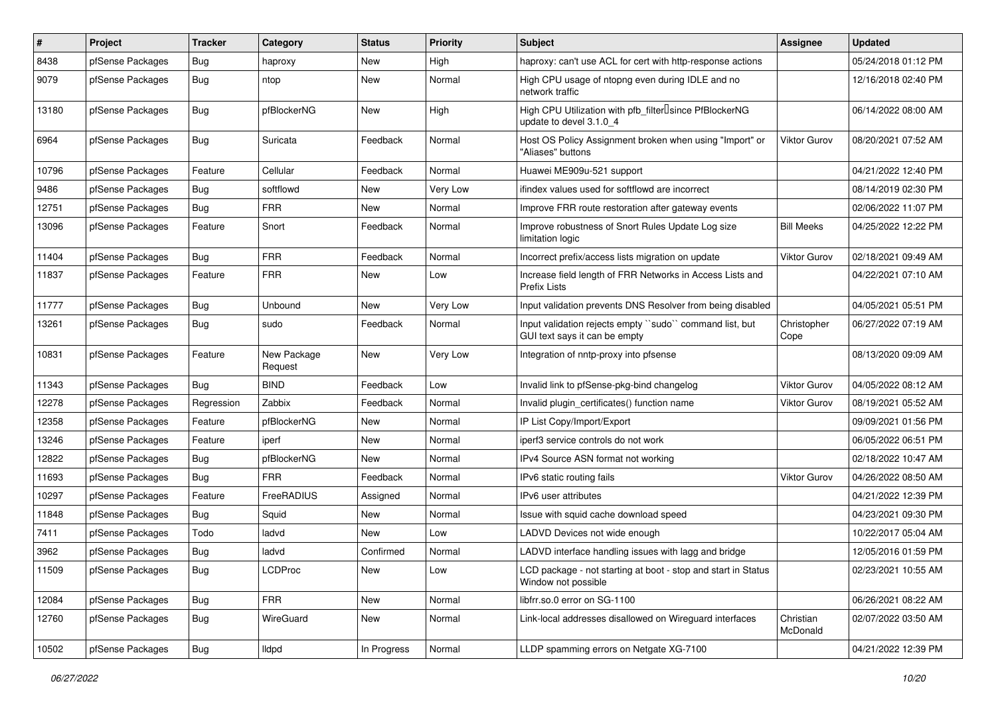| #     | Project          | <b>Tracker</b> | Category               | <b>Status</b> | <b>Priority</b> | <b>Subject</b>                                                                                  | <b>Assignee</b>       | <b>Updated</b>      |
|-------|------------------|----------------|------------------------|---------------|-----------------|-------------------------------------------------------------------------------------------------|-----------------------|---------------------|
| 8438  | pfSense Packages | Bug            | haproxy                | New           | High            | haproxy: can't use ACL for cert with http-response actions                                      |                       | 05/24/2018 01:12 PM |
| 9079  | pfSense Packages | Bug            | ntop                   | New           | Normal          | High CPU usage of ntopng even during IDLE and no<br>network traffic                             |                       | 12/16/2018 02:40 PM |
| 13180 | pfSense Packages | Bug            | pfBlockerNG            | New           | High            | High CPU Utilization with pfb_filter <sup>[]</sup> since PfBlockerNG<br>update to devel 3.1.0 4 |                       | 06/14/2022 08:00 AM |
| 6964  | pfSense Packages | <b>Bug</b>     | Suricata               | Feedback      | Normal          | Host OS Policy Assignment broken when using "Import" or<br>"Aliases" buttons                    | <b>Viktor Gurov</b>   | 08/20/2021 07:52 AM |
| 10796 | pfSense Packages | Feature        | Cellular               | Feedback      | Normal          | Huawei ME909u-521 support                                                                       |                       | 04/21/2022 12:40 PM |
| 9486  | pfSense Packages | Bug            | softflowd              | New           | Very Low        | ifindex values used for softflowd are incorrect                                                 |                       | 08/14/2019 02:30 PM |
| 12751 | pfSense Packages | Bug            | <b>FRR</b>             | New           | Normal          | Improve FRR route restoration after gateway events                                              |                       | 02/06/2022 11:07 PM |
| 13096 | pfSense Packages | Feature        | Snort                  | Feedback      | Normal          | Improve robustness of Snort Rules Update Log size<br>limitation logic                           | <b>Bill Meeks</b>     | 04/25/2022 12:22 PM |
| 11404 | pfSense Packages | Bug            | <b>FRR</b>             | Feedback      | Normal          | Incorrect prefix/access lists migration on update                                               | <b>Viktor Gurov</b>   | 02/18/2021 09:49 AM |
| 11837 | pfSense Packages | Feature        | <b>FRR</b>             | New           | Low             | Increase field length of FRR Networks in Access Lists and<br><b>Prefix Lists</b>                |                       | 04/22/2021 07:10 AM |
| 11777 | pfSense Packages | Bug            | <b>Unbound</b>         | <b>New</b>    | Very Low        | Input validation prevents DNS Resolver from being disabled                                      |                       | 04/05/2021 05:51 PM |
| 13261 | pfSense Packages | Bug            | sudo                   | Feedback      | Normal          | Input validation rejects empty "sudo" command list, but<br>GUI text says it can be empty        | Christopher<br>Cope   | 06/27/2022 07:19 AM |
| 10831 | pfSense Packages | Feature        | New Package<br>Request | <b>New</b>    | Very Low        | Integration of nntp-proxy into pfsense                                                          |                       | 08/13/2020 09:09 AM |
| 11343 | pfSense Packages | Bug            | <b>BIND</b>            | Feedback      | Low             | Invalid link to pfSense-pkg-bind changelog                                                      | <b>Viktor Gurov</b>   | 04/05/2022 08:12 AM |
| 12278 | pfSense Packages | Regression     | Zabbix                 | Feedback      | Normal          | Invalid plugin certificates() function name                                                     | <b>Viktor Gurov</b>   | 08/19/2021 05:52 AM |
| 12358 | pfSense Packages | Feature        | pfBlockerNG            | New           | Normal          | IP List Copy/Import/Export                                                                      |                       | 09/09/2021 01:56 PM |
| 13246 | pfSense Packages | Feature        | iperf                  | New           | Normal          | iperf3 service controls do not work                                                             |                       | 06/05/2022 06:51 PM |
| 12822 | pfSense Packages | Bug            | pfBlockerNG            | New           | Normal          | IPv4 Source ASN format not working                                                              |                       | 02/18/2022 10:47 AM |
| 11693 | pfSense Packages | <b>Bug</b>     | <b>FRR</b>             | Feedback      | Normal          | IPv6 static routing fails                                                                       | <b>Viktor Gurov</b>   | 04/26/2022 08:50 AM |
| 10297 | pfSense Packages | Feature        | FreeRADIUS             | Assigned      | Normal          | IPv6 user attributes                                                                            |                       | 04/21/2022 12:39 PM |
| 11848 | pfSense Packages | <b>Bug</b>     | Squid                  | New           | Normal          | Issue with squid cache download speed                                                           |                       | 04/23/2021 09:30 PM |
| 7411  | pfSense Packages | Todo           | ladvd                  | New           | Low             | LADVD Devices not wide enough                                                                   |                       | 10/22/2017 05:04 AM |
| 3962  | pfSense Packages | Bug            | ladvd                  | Confirmed     | Normal          | LADVD interface handling issues with lagg and bridge                                            |                       | 12/05/2016 01:59 PM |
| 11509 | pfSense Packages | Bug            | <b>LCDProc</b>         | New           | Low             | LCD package - not starting at boot - stop and start in Status<br>Window not possible            |                       | 02/23/2021 10:55 AM |
| 12084 | pfSense Packages | <b>Bug</b>     | <b>FRR</b>             | New           | Normal          | libfrr.so.0 error on SG-1100                                                                    |                       | 06/26/2021 08:22 AM |
| 12760 | pfSense Packages | Bug            | WireGuard              | New           | Normal          | Link-local addresses disallowed on Wireguard interfaces                                         | Christian<br>McDonald | 02/07/2022 03:50 AM |
| 10502 | pfSense Packages | <b>Bug</b>     | lldpd                  | In Progress   | Normal          | LLDP spamming errors on Netgate XG-7100                                                         |                       | 04/21/2022 12:39 PM |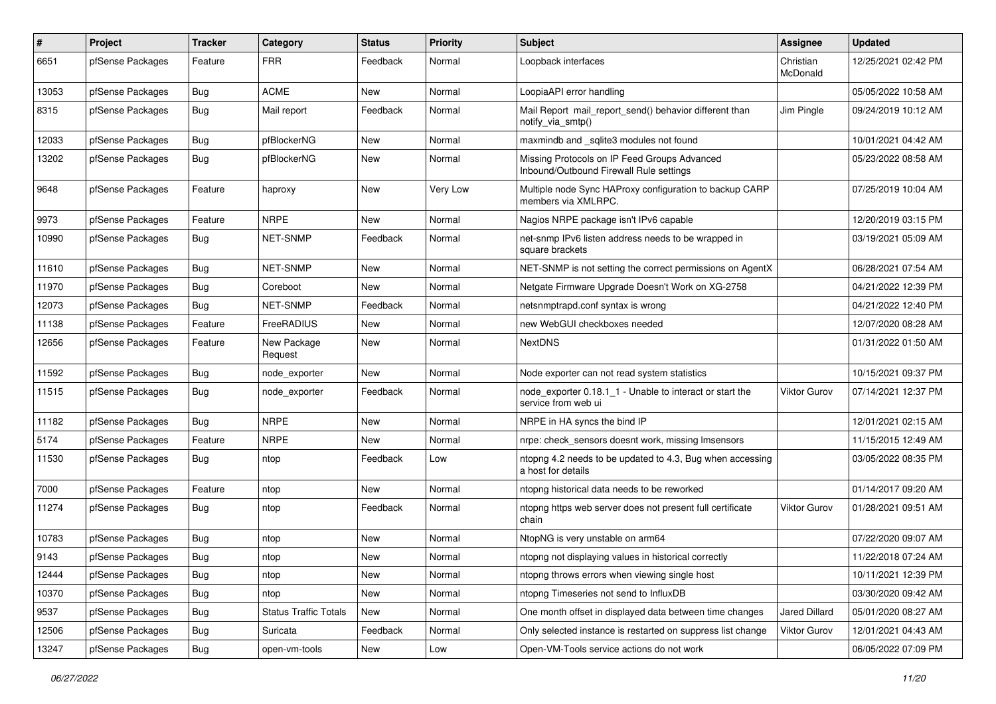| $\pmb{\#}$ | Project          | <b>Tracker</b> | Category                     | <b>Status</b> | <b>Priority</b> | <b>Subject</b>                                                                          | <b>Assignee</b>       | <b>Updated</b>      |
|------------|------------------|----------------|------------------------------|---------------|-----------------|-----------------------------------------------------------------------------------------|-----------------------|---------------------|
| 6651       | pfSense Packages | Feature        | <b>FRR</b>                   | Feedback      | Normal          | Loopback interfaces                                                                     | Christian<br>McDonald | 12/25/2021 02:42 PM |
| 13053      | pfSense Packages | <b>Bug</b>     | <b>ACME</b>                  | New           | Normal          | LoopiaAPI error handling                                                                |                       | 05/05/2022 10:58 AM |
| 8315       | pfSense Packages | Bug            | Mail report                  | Feedback      | Normal          | Mail Report mail report send() behavior different than<br>notify_via_smtp()             | Jim Pingle            | 09/24/2019 10:12 AM |
| 12033      | pfSense Packages | Bug            | pfBlockerNG                  | New           | Normal          | maxmindb and sqlite3 modules not found                                                  |                       | 10/01/2021 04:42 AM |
| 13202      | pfSense Packages | Bug            | pfBlockerNG                  | New           | Normal          | Missing Protocols on IP Feed Groups Advanced<br>Inbound/Outbound Firewall Rule settings |                       | 05/23/2022 08:58 AM |
| 9648       | pfSense Packages | Feature        | haproxy                      | New           | Very Low        | Multiple node Sync HAProxy configuration to backup CARP<br>members via XMLRPC.          |                       | 07/25/2019 10:04 AM |
| 9973       | pfSense Packages | Feature        | <b>NRPE</b>                  | New           | Normal          | Nagios NRPE package isn't IPv6 capable                                                  |                       | 12/20/2019 03:15 PM |
| 10990      | pfSense Packages | <b>Bug</b>     | <b>NET-SNMP</b>              | Feedback      | Normal          | net-snmp IPv6 listen address needs to be wrapped in<br>square brackets                  |                       | 03/19/2021 05:09 AM |
| 11610      | pfSense Packages | <b>Bug</b>     | <b>NET-SNMP</b>              | New           | Normal          | NET-SNMP is not setting the correct permissions on AgentX                               |                       | 06/28/2021 07:54 AM |
| 11970      | pfSense Packages | Bug            | Coreboot                     | New           | Normal          | Netgate Firmware Upgrade Doesn't Work on XG-2758                                        |                       | 04/21/2022 12:39 PM |
| 12073      | pfSense Packages | <b>Bug</b>     | <b>NET-SNMP</b>              | Feedback      | Normal          | netsnmptrapd.conf syntax is wrong                                                       |                       | 04/21/2022 12:40 PM |
| 11138      | pfSense Packages | Feature        | FreeRADIUS                   | New           | Normal          | new WebGUI checkboxes needed                                                            |                       | 12/07/2020 08:28 AM |
| 12656      | pfSense Packages | Feature        | New Package<br>Request       | New           | Normal          | <b>NextDNS</b>                                                                          |                       | 01/31/2022 01:50 AM |
| 11592      | pfSense Packages | <b>Bug</b>     | node exporter                | New           | Normal          | Node exporter can not read system statistics                                            |                       | 10/15/2021 09:37 PM |
| 11515      | pfSense Packages | <b>Bug</b>     | node exporter                | Feedback      | Normal          | node exporter 0.18.1 1 - Unable to interact or start the<br>service from web ui         | Viktor Gurov          | 07/14/2021 12:37 PM |
| 11182      | pfSense Packages | Bug            | <b>NRPE</b>                  | <b>New</b>    | Normal          | NRPE in HA syncs the bind IP                                                            |                       | 12/01/2021 02:15 AM |
| 5174       | pfSense Packages | Feature        | <b>NRPE</b>                  | New           | Normal          | nrpe: check sensors doesnt work, missing Imsensors                                      |                       | 11/15/2015 12:49 AM |
| 11530      | pfSense Packages | <b>Bug</b>     | ntop                         | Feedback      | Low             | ntopng 4.2 needs to be updated to 4.3, Bug when accessing<br>a host for details         |                       | 03/05/2022 08:35 PM |
| 7000       | pfSense Packages | Feature        | ntop                         | New           | Normal          | ntopng historical data needs to be reworked                                             |                       | 01/14/2017 09:20 AM |
| 11274      | pfSense Packages | <b>Bug</b>     | ntop                         | Feedback      | Normal          | ntopng https web server does not present full certificate<br>chain                      | Viktor Gurov          | 01/28/2021 09:51 AM |
| 10783      | pfSense Packages | <b>Bug</b>     | ntop                         | New           | Normal          | NtopNG is very unstable on arm64                                                        |                       | 07/22/2020 09:07 AM |
| 9143       | pfSense Packages | <b>Bug</b>     | ntop                         | New           | Normal          | ntopng not displaying values in historical correctly                                    |                       | 11/22/2018 07:24 AM |
| 12444      | pfSense Packages | <b>Bug</b>     | ntop                         | New           | Normal          | ntopng throws errors when viewing single host                                           |                       | 10/11/2021 12:39 PM |
| 10370      | pfSense Packages | Bug            | ntop                         | New           | Normal          | ntopng Timeseries not send to InfluxDB                                                  |                       | 03/30/2020 09:42 AM |
| 9537       | pfSense Packages | Bug            | <b>Status Traffic Totals</b> | <b>New</b>    | Normal          | One month offset in displayed data between time changes                                 | <b>Jared Dillard</b>  | 05/01/2020 08:27 AM |
| 12506      | pfSense Packages | <b>Bug</b>     | Suricata                     | Feedback      | Normal          | Only selected instance is restarted on suppress list change                             | Viktor Gurov          | 12/01/2021 04:43 AM |
| 13247      | pfSense Packages | Bug            | open-vm-tools                | New           | Low             | Open-VM-Tools service actions do not work                                               |                       | 06/05/2022 07:09 PM |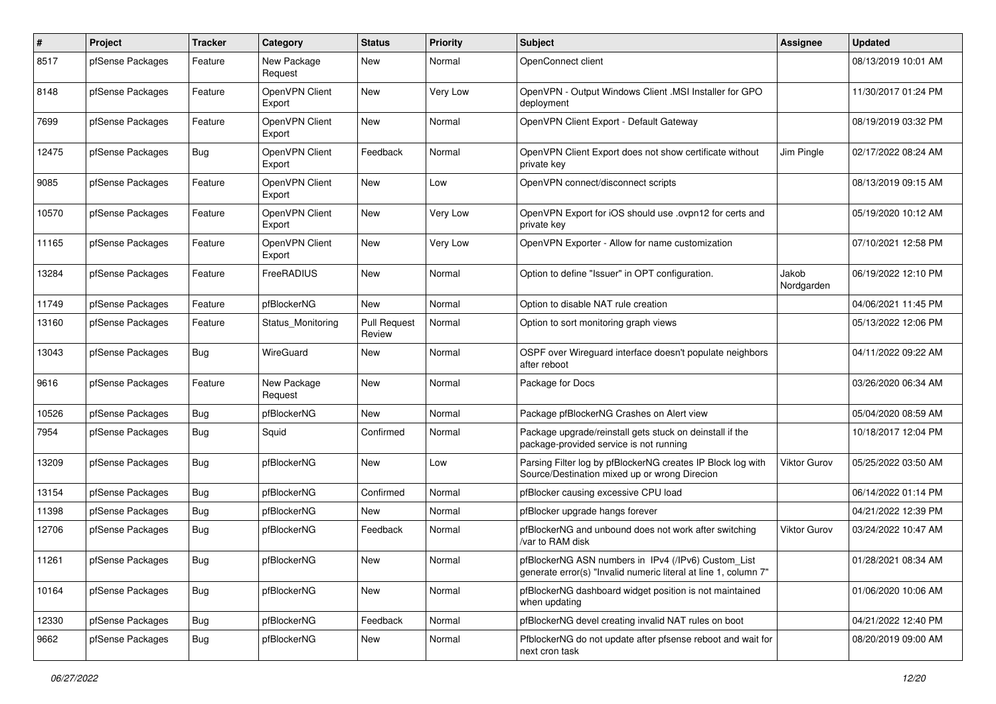| $\#$  | Project          | <b>Tracker</b> | Category                 | <b>Status</b>                 | <b>Priority</b> | <b>Subject</b>                                                                                                         | <b>Assignee</b>     | <b>Updated</b>      |
|-------|------------------|----------------|--------------------------|-------------------------------|-----------------|------------------------------------------------------------------------------------------------------------------------|---------------------|---------------------|
| 8517  | pfSense Packages | Feature        | New Package<br>Request   | New                           | Normal          | OpenConnect client                                                                                                     |                     | 08/13/2019 10:01 AM |
| 8148  | pfSense Packages | Feature        | OpenVPN Client<br>Export | New                           | Very Low        | OpenVPN - Output Windows Client .MSI Installer for GPO<br>deployment                                                   |                     | 11/30/2017 01:24 PM |
| 7699  | pfSense Packages | Feature        | OpenVPN Client<br>Export | New                           | Normal          | OpenVPN Client Export - Default Gateway                                                                                |                     | 08/19/2019 03:32 PM |
| 12475 | pfSense Packages | <b>Bug</b>     | OpenVPN Client<br>Export | Feedback                      | Normal          | OpenVPN Client Export does not show certificate without<br>private key                                                 | Jim Pingle          | 02/17/2022 08:24 AM |
| 9085  | pfSense Packages | Feature        | OpenVPN Client<br>Export | New                           | Low             | OpenVPN connect/disconnect scripts                                                                                     |                     | 08/13/2019 09:15 AM |
| 10570 | pfSense Packages | Feature        | OpenVPN Client<br>Export | New                           | Very Low        | OpenVPN Export for iOS should use .ovpn12 for certs and<br>private key                                                 |                     | 05/19/2020 10:12 AM |
| 11165 | pfSense Packages | Feature        | OpenVPN Client<br>Export | <b>New</b>                    | Very Low        | OpenVPN Exporter - Allow for name customization                                                                        |                     | 07/10/2021 12:58 PM |
| 13284 | pfSense Packages | Feature        | FreeRADIUS               | <b>New</b>                    | Normal          | Option to define "Issuer" in OPT configuration.                                                                        | Jakob<br>Nordgarden | 06/19/2022 12:10 PM |
| 11749 | pfSense Packages | Feature        | pfBlockerNG              | <b>New</b>                    | Normal          | Option to disable NAT rule creation                                                                                    |                     | 04/06/2021 11:45 PM |
| 13160 | pfSense Packages | Feature        | Status_Monitoring        | <b>Pull Request</b><br>Review | Normal          | Option to sort monitoring graph views                                                                                  |                     | 05/13/2022 12:06 PM |
| 13043 | pfSense Packages | Bug            | WireGuard                | New                           | Normal          | OSPF over Wirequard interface doesn't populate neighbors<br>after reboot                                               |                     | 04/11/2022 09:22 AM |
| 9616  | pfSense Packages | Feature        | New Package<br>Request   | New                           | Normal          | Package for Docs                                                                                                       |                     | 03/26/2020 06:34 AM |
| 10526 | pfSense Packages | <b>Bug</b>     | pfBlockerNG              | New                           | Normal          | Package pfBlockerNG Crashes on Alert view                                                                              |                     | 05/04/2020 08:59 AM |
| 7954  | pfSense Packages | Bug            | Squid                    | Confirmed                     | Normal          | Package upgrade/reinstall gets stuck on deinstall if the<br>package-provided service is not running                    |                     | 10/18/2017 12:04 PM |
| 13209 | pfSense Packages | Bug            | pfBlockerNG              | New                           | Low             | Parsing Filter log by pfBlockerNG creates IP Block log with<br>Source/Destination mixed up or wrong Direcion           | <b>Viktor Gurov</b> | 05/25/2022 03:50 AM |
| 13154 | pfSense Packages | <b>Bug</b>     | pfBlockerNG              | Confirmed                     | Normal          | pfBlocker causing excessive CPU load                                                                                   |                     | 06/14/2022 01:14 PM |
| 11398 | pfSense Packages | Bug            | pfBlockerNG              | <b>New</b>                    | Normal          | pfBlocker upgrade hangs forever                                                                                        |                     | 04/21/2022 12:39 PM |
| 12706 | pfSense Packages | <b>Bug</b>     | pfBlockerNG              | Feedback                      | Normal          | pfBlockerNG and unbound does not work after switching<br>/var to RAM disk                                              | Viktor Gurov        | 03/24/2022 10:47 AM |
| 11261 | pfSense Packages | Bug            | pfBlockerNG              | New                           | Normal          | pfBlockerNG ASN numbers in IPv4 (/IPv6) Custom_List<br>generate error(s) "Invalid numeric literal at line 1, column 7" |                     | 01/28/2021 08:34 AM |
| 10164 | pfSense Packages | Bug            | pfBlockerNG              | New                           | Normal          | pfBlockerNG dashboard widget position is not maintained<br>when updating                                               |                     | 01/06/2020 10:06 AM |
| 12330 | pfSense Packages | Bug            | pfBlockerNG              | Feedback                      | Normal          | pfBlockerNG devel creating invalid NAT rules on boot                                                                   |                     | 04/21/2022 12:40 PM |
| 9662  | pfSense Packages | Bug            | pfBlockerNG              | New                           | Normal          | PfblockerNG do not update after pfsense reboot and wait for<br>next cron task                                          |                     | 08/20/2019 09:00 AM |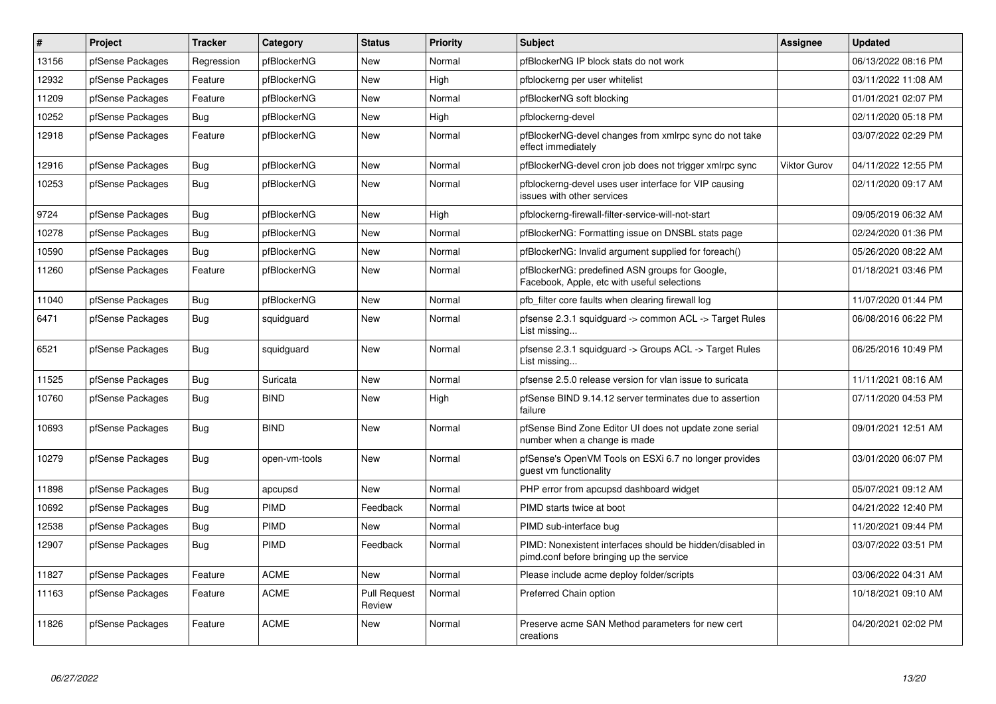| $\sharp$ | Project          | <b>Tracker</b> | Category      | <b>Status</b>                 | Priority | <b>Subject</b>                                                                                        | Assignee            | <b>Updated</b>      |
|----------|------------------|----------------|---------------|-------------------------------|----------|-------------------------------------------------------------------------------------------------------|---------------------|---------------------|
| 13156    | pfSense Packages | Regression     | pfBlockerNG   | <b>New</b>                    | Normal   | pfBlockerNG IP block stats do not work                                                                |                     | 06/13/2022 08:16 PM |
| 12932    | pfSense Packages | Feature        | pfBlockerNG   | <b>New</b>                    | High     | pfblockerng per user whitelist                                                                        |                     | 03/11/2022 11:08 AM |
| 11209    | pfSense Packages | Feature        | pfBlockerNG   | New                           | Normal   | pfBlockerNG soft blocking                                                                             |                     | 01/01/2021 02:07 PM |
| 10252    | pfSense Packages | Bug            | pfBlockerNG   | <b>New</b>                    | High     | pfblockerng-devel                                                                                     |                     | 02/11/2020 05:18 PM |
| 12918    | pfSense Packages | Feature        | pfBlockerNG   | <b>New</b>                    | Normal   | pfBlockerNG-devel changes from xmlrpc sync do not take<br>effect immediately                          |                     | 03/07/2022 02:29 PM |
| 12916    | pfSense Packages | <b>Bug</b>     | pfBlockerNG   | <b>New</b>                    | Normal   | pfBlockerNG-devel cron job does not trigger xmlrpc sync                                               | <b>Viktor Gurov</b> | 04/11/2022 12:55 PM |
| 10253    | pfSense Packages | Bug            | pfBlockerNG   | <b>New</b>                    | Normal   | pfblockerng-devel uses user interface for VIP causing<br>issues with other services                   |                     | 02/11/2020 09:17 AM |
| 9724     | pfSense Packages | Bug            | pfBlockerNG   | <b>New</b>                    | High     | pfblockerng-firewall-filter-service-will-not-start                                                    |                     | 09/05/2019 06:32 AM |
| 10278    | pfSense Packages | Bug            | pfBlockerNG   | New                           | Normal   | pfBlockerNG: Formatting issue on DNSBL stats page                                                     |                     | 02/24/2020 01:36 PM |
| 10590    | pfSense Packages | <b>Bug</b>     | pfBlockerNG   | <b>New</b>                    | Normal   | pfBlockerNG: Invalid argument supplied for foreach()                                                  |                     | 05/26/2020 08:22 AM |
| 11260    | pfSense Packages | Feature        | pfBlockerNG   | New                           | Normal   | pfBlockerNG: predefined ASN groups for Google,<br>Facebook, Apple, etc with useful selections         |                     | 01/18/2021 03:46 PM |
| 11040    | pfSense Packages | <b>Bug</b>     | pfBlockerNG   | <b>New</b>                    | Normal   | pfb filter core faults when clearing firewall log                                                     |                     | 11/07/2020 01:44 PM |
| 6471     | pfSense Packages | <b>Bug</b>     | squidguard    | <b>New</b>                    | Normal   | pfsense 2.3.1 squidguard -> common ACL -> Target Rules<br>List missing                                |                     | 06/08/2016 06:22 PM |
| 6521     | pfSense Packages | <b>Bug</b>     | squidguard    | <b>New</b>                    | Normal   | pfsense 2.3.1 squidguard -> Groups ACL -> Target Rules<br>List missing                                |                     | 06/25/2016 10:49 PM |
| 11525    | pfSense Packages | Bug            | Suricata      | New                           | Normal   | pfsense 2.5.0 release version for vlan issue to suricata                                              |                     | 11/11/2021 08:16 AM |
| 10760    | pfSense Packages | Bug            | <b>BIND</b>   | New                           | High     | pfSense BIND 9.14.12 server terminates due to assertion<br>failure                                    |                     | 07/11/2020 04:53 PM |
| 10693    | pfSense Packages | Bug            | <b>BIND</b>   | <b>New</b>                    | Normal   | pfSense Bind Zone Editor UI does not update zone serial<br>number when a change is made               |                     | 09/01/2021 12:51 AM |
| 10279    | pfSense Packages | <b>Bug</b>     | open-vm-tools | New                           | Normal   | pfSense's OpenVM Tools on ESXi 6.7 no longer provides<br>guest vm functionality                       |                     | 03/01/2020 06:07 PM |
| 11898    | pfSense Packages | <b>Bug</b>     | apcupsd       | New                           | Normal   | PHP error from apcupsd dashboard widget                                                               |                     | 05/07/2021 09:12 AM |
| 10692    | pfSense Packages | <b>Bug</b>     | PIMD          | Feedback                      | Normal   | PIMD starts twice at boot                                                                             |                     | 04/21/2022 12:40 PM |
| 12538    | pfSense Packages | Bug            | <b>PIMD</b>   | New                           | Normal   | PIMD sub-interface bug                                                                                |                     | 11/20/2021 09:44 PM |
| 12907    | pfSense Packages | <b>Bug</b>     | <b>PIMD</b>   | Feedback                      | Normal   | PIMD: Nonexistent interfaces should be hidden/disabled in<br>pimd.conf before bringing up the service |                     | 03/07/2022 03:51 PM |
| 11827    | pfSense Packages | Feature        | <b>ACME</b>   | New                           | Normal   | Please include acme deploy folder/scripts                                                             |                     | 03/06/2022 04:31 AM |
| 11163    | pfSense Packages | Feature        | <b>ACME</b>   | <b>Pull Request</b><br>Review | Normal   | Preferred Chain option                                                                                |                     | 10/18/2021 09:10 AM |
| 11826    | pfSense Packages | Feature        | <b>ACME</b>   | <b>New</b>                    | Normal   | Preserve acme SAN Method parameters for new cert<br>creations                                         |                     | 04/20/2021 02:02 PM |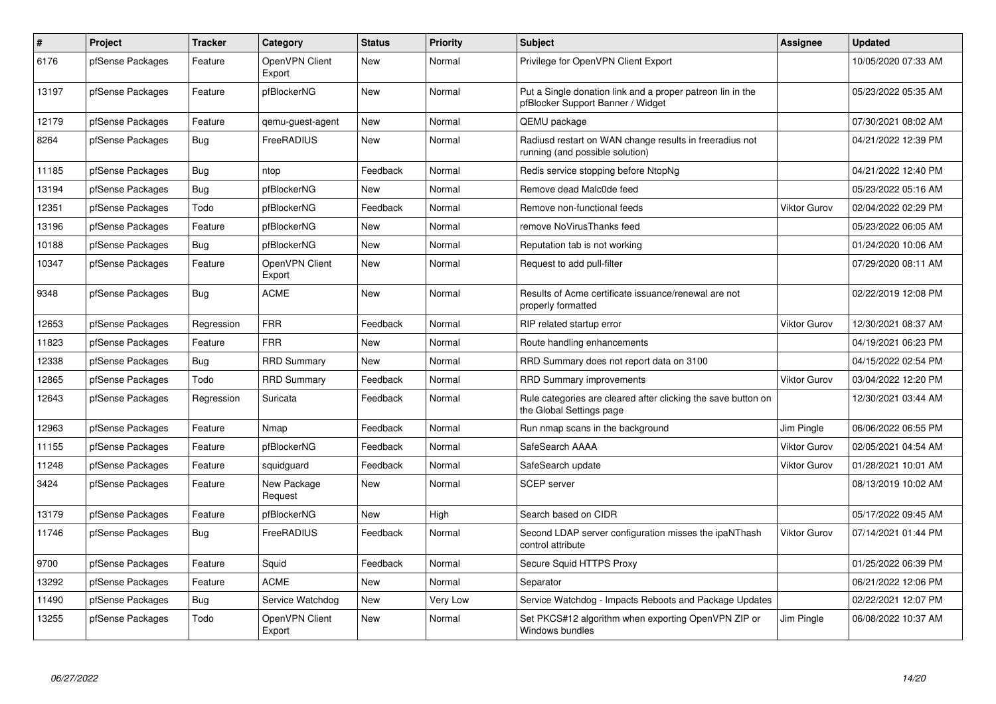| $\pmb{\#}$ | Project          | <b>Tracker</b> | Category                 | <b>Status</b> | Priority        | <b>Subject</b>                                                                                  | <b>Assignee</b> | <b>Updated</b>      |
|------------|------------------|----------------|--------------------------|---------------|-----------------|-------------------------------------------------------------------------------------------------|-----------------|---------------------|
| 6176       | pfSense Packages | Feature        | OpenVPN Client<br>Export | <b>New</b>    | Normal          | Privilege for OpenVPN Client Export                                                             |                 | 10/05/2020 07:33 AM |
| 13197      | pfSense Packages | Feature        | pfBlockerNG              | New           | Normal          | Put a Single donation link and a proper patreon lin in the<br>pfBlocker Support Banner / Widget |                 | 05/23/2022 05:35 AM |
| 12179      | pfSense Packages | Feature        | qemu-guest-agent         | <b>New</b>    | Normal          | QEMU package                                                                                    |                 | 07/30/2021 08:02 AM |
| 8264       | pfSense Packages | Bug            | FreeRADIUS               | New           | Normal          | Radiusd restart on WAN change results in freeradius not<br>running (and possible solution)      |                 | 04/21/2022 12:39 PM |
| 11185      | pfSense Packages | Bug            | ntop                     | Feedback      | Normal          | Redis service stopping before NtopNg                                                            |                 | 04/21/2022 12:40 PM |
| 13194      | pfSense Packages | Bug            | pfBlockerNG              | New           | Normal          | Remove dead Malc0de feed                                                                        |                 | 05/23/2022 05:16 AM |
| 12351      | pfSense Packages | Todo           | pfBlockerNG              | Feedback      | Normal          | Remove non-functional feeds                                                                     | Viktor Gurov    | 02/04/2022 02:29 PM |
| 13196      | pfSense Packages | Feature        | pfBlockerNG              | <b>New</b>    | Normal          | remove NoVirusThanks feed                                                                       |                 | 05/23/2022 06:05 AM |
| 10188      | pfSense Packages | Bug            | pfBlockerNG              | <b>New</b>    | Normal          | Reputation tab is not working                                                                   |                 | 01/24/2020 10:06 AM |
| 10347      | pfSense Packages | Feature        | OpenVPN Client<br>Export | <b>New</b>    | Normal          | Request to add pull-filter                                                                      |                 | 07/29/2020 08:11 AM |
| 9348       | pfSense Packages | Bug            | <b>ACME</b>              | <b>New</b>    | Normal          | Results of Acme certificate issuance/renewal are not<br>properly formatted                      |                 | 02/22/2019 12:08 PM |
| 12653      | pfSense Packages | Regression     | <b>FRR</b>               | Feedback      | Normal          | RIP related startup error                                                                       | Viktor Gurov    | 12/30/2021 08:37 AM |
| 11823      | pfSense Packages | Feature        | <b>FRR</b>               | <b>New</b>    | Normal          | Route handling enhancements                                                                     |                 | 04/19/2021 06:23 PM |
| 12338      | pfSense Packages | Bug            | <b>RRD Summary</b>       | <b>New</b>    | Normal          | RRD Summary does not report data on 3100                                                        |                 | 04/15/2022 02:54 PM |
| 12865      | pfSense Packages | Todo           | <b>RRD Summary</b>       | Feedback      | Normal          | <b>RRD Summary improvements</b>                                                                 | Viktor Gurov    | 03/04/2022 12:20 PM |
| 12643      | pfSense Packages | Regression     | Suricata                 | Feedback      | Normal          | Rule categories are cleared after clicking the save button on<br>the Global Settings page       |                 | 12/30/2021 03:44 AM |
| 12963      | pfSense Packages | Feature        | Nmap                     | Feedback      | Normal          | Run nmap scans in the background                                                                | Jim Pingle      | 06/06/2022 06:55 PM |
| 11155      | pfSense Packages | Feature        | pfBlockerNG              | Feedback      | Normal          | SafeSearch AAAA                                                                                 | Viktor Gurov    | 02/05/2021 04:54 AM |
| 11248      | pfSense Packages | Feature        | squidguard               | Feedback      | Normal          | SafeSearch update                                                                               | Viktor Gurov    | 01/28/2021 10:01 AM |
| 3424       | pfSense Packages | Feature        | New Package<br>Request   | New           | Normal          | <b>SCEP</b> server                                                                              |                 | 08/13/2019 10:02 AM |
| 13179      | pfSense Packages | Feature        | pfBlockerNG              | <b>New</b>    | High            | Search based on CIDR                                                                            |                 | 05/17/2022 09:45 AM |
| 11746      | pfSense Packages | <b>Bug</b>     | FreeRADIUS               | Feedback      | Normal          | Second LDAP server configuration misses the ipaNThash<br>control attribute                      | Viktor Gurov    | 07/14/2021 01:44 PM |
| 9700       | pfSense Packages | Feature        | Squid                    | Feedback      | Normal          | Secure Squid HTTPS Proxy                                                                        |                 | 01/25/2022 06:39 PM |
| 13292      | pfSense Packages | Feature        | <b>ACME</b>              | <b>New</b>    | Normal          | Separator                                                                                       |                 | 06/21/2022 12:06 PM |
| 11490      | pfSense Packages | Bug            | Service Watchdog         | <b>New</b>    | <b>Very Low</b> | Service Watchdog - Impacts Reboots and Package Updates                                          |                 | 02/22/2021 12:07 PM |
| 13255      | pfSense Packages | Todo           | OpenVPN Client<br>Export | <b>New</b>    | Normal          | Set PKCS#12 algorithm when exporting OpenVPN ZIP or<br>Windows bundles                          | Jim Pingle      | 06/08/2022 10:37 AM |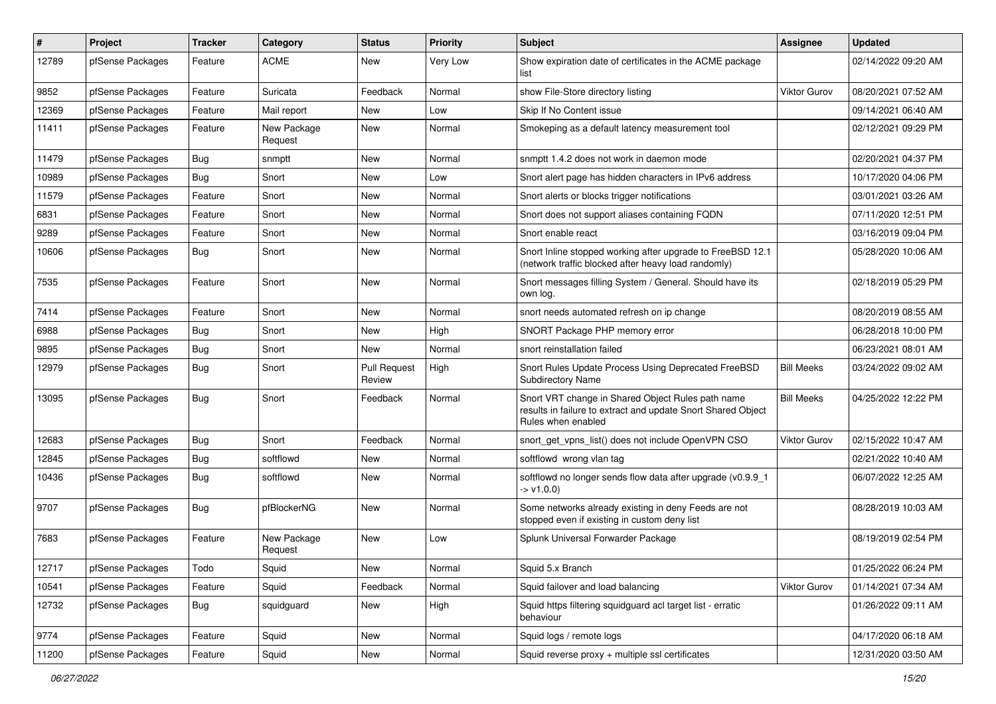| #     | Project          | <b>Tracker</b> | Category               | <b>Status</b>                 | <b>Priority</b> | <b>Subject</b>                                                                                                                          | Assignee            | <b>Updated</b>      |
|-------|------------------|----------------|------------------------|-------------------------------|-----------------|-----------------------------------------------------------------------------------------------------------------------------------------|---------------------|---------------------|
| 12789 | pfSense Packages | Feature        | <b>ACME</b>            | New                           | Very Low        | Show expiration date of certificates in the ACME package<br>list                                                                        |                     | 02/14/2022 09:20 AM |
| 9852  | pfSense Packages | Feature        | Suricata               | Feedback                      | Normal          | show File-Store directory listing                                                                                                       | <b>Viktor Gurov</b> | 08/20/2021 07:52 AM |
| 12369 | pfSense Packages | Feature        | Mail report            | New                           | Low             | Skip If No Content issue                                                                                                                |                     | 09/14/2021 06:40 AM |
| 11411 | pfSense Packages | Feature        | New Package<br>Request | New                           | Normal          | Smokeping as a default latency measurement tool                                                                                         |                     | 02/12/2021 09:29 PM |
| 11479 | pfSense Packages | <b>Bug</b>     | snmptt                 | <b>New</b>                    | Normal          | snmptt 1.4.2 does not work in daemon mode                                                                                               |                     | 02/20/2021 04:37 PM |
| 10989 | pfSense Packages | Bug            | Snort                  | New                           | Low             | Snort alert page has hidden characters in IPv6 address                                                                                  |                     | 10/17/2020 04:06 PM |
| 11579 | pfSense Packages | Feature        | Snort                  | New                           | Normal          | Snort alerts or blocks trigger notifications                                                                                            |                     | 03/01/2021 03:26 AM |
| 6831  | pfSense Packages | Feature        | Snort                  | New                           | Normal          | Snort does not support aliases containing FQDN                                                                                          |                     | 07/11/2020 12:51 PM |
| 9289  | pfSense Packages | Feature        | Snort                  | New                           | Normal          | Snort enable react                                                                                                                      |                     | 03/16/2019 09:04 PM |
| 10606 | pfSense Packages | <b>Bug</b>     | Snort                  | New                           | Normal          | Snort Inline stopped working after upgrade to FreeBSD 12.1<br>(network traffic blocked after heavy load randomly)                       |                     | 05/28/2020 10:06 AM |
| 7535  | pfSense Packages | Feature        | Snort                  | New                           | Normal          | Snort messages filling System / General. Should have its<br>own log.                                                                    |                     | 02/18/2019 05:29 PM |
| 7414  | pfSense Packages | Feature        | Snort                  | <b>New</b>                    | Normal          | snort needs automated refresh on ip change                                                                                              |                     | 08/20/2019 08:55 AM |
| 6988  | pfSense Packages | <b>Bug</b>     | Snort                  | New                           | High            | SNORT Package PHP memory error                                                                                                          |                     | 06/28/2018 10:00 PM |
| 9895  | pfSense Packages | <b>Bug</b>     | Snort                  | New                           | Normal          | snort reinstallation failed                                                                                                             |                     | 06/23/2021 08:01 AM |
| 12979 | pfSense Packages | <b>Bug</b>     | Snort                  | <b>Pull Request</b><br>Review | High            | Snort Rules Update Process Using Deprecated FreeBSD<br><b>Subdirectory Name</b>                                                         | <b>Bill Meeks</b>   | 03/24/2022 09:02 AM |
| 13095 | pfSense Packages | <b>Bug</b>     | Snort                  | Feedback                      | Normal          | Snort VRT change in Shared Object Rules path name<br>results in failure to extract and update Snort Shared Object<br>Rules when enabled | <b>Bill Meeks</b>   | 04/25/2022 12:22 PM |
| 12683 | pfSense Packages | Bug            | Snort                  | Feedback                      | Normal          | snort_get_vpns_list() does not include OpenVPN CSO                                                                                      | Viktor Gurov        | 02/15/2022 10:47 AM |
| 12845 | pfSense Packages | <b>Bug</b>     | softflowd              | New                           | Normal          | softflowd wrong vlan tag                                                                                                                |                     | 02/21/2022 10:40 AM |
| 10436 | pfSense Packages | <b>Bug</b>     | softflowd              | <b>New</b>                    | Normal          | softflowd no longer sends flow data after upgrade (v0.9.9_1<br>$\rightarrow$ v1.0.0)                                                    |                     | 06/07/2022 12:25 AM |
| 9707  | pfSense Packages | Bug            | pfBlockerNG            | <b>New</b>                    | Normal          | Some networks already existing in deny Feeds are not<br>stopped even if existing in custom deny list                                    |                     | 08/28/2019 10:03 AM |
| 7683  | pfSense Packages | Feature        | New Package<br>Request | New                           | Low             | Splunk Universal Forwarder Package                                                                                                      |                     | 08/19/2019 02:54 PM |
| 12717 | pfSense Packages | Todo           | Squid                  | New                           | Normal          | Squid 5.x Branch                                                                                                                        |                     | 01/25/2022 06:24 PM |
| 10541 | pfSense Packages | Feature        | Squid                  | Feedback                      | Normal          | Squid failover and load balancing                                                                                                       | <b>Viktor Gurov</b> | 01/14/2021 07:34 AM |
| 12732 | pfSense Packages | Bug            | squidguard             | New                           | High            | Squid https filtering squidguard acl target list - erratic<br>behaviour                                                                 |                     | 01/26/2022 09:11 AM |
| 9774  | pfSense Packages | Feature        | Squid                  | New                           | Normal          | Squid logs / remote logs                                                                                                                |                     | 04/17/2020 06:18 AM |
| 11200 | pfSense Packages | Feature        | Squid                  | New                           | Normal          | Squid reverse proxy + multiple ssl certificates                                                                                         |                     | 12/31/2020 03:50 AM |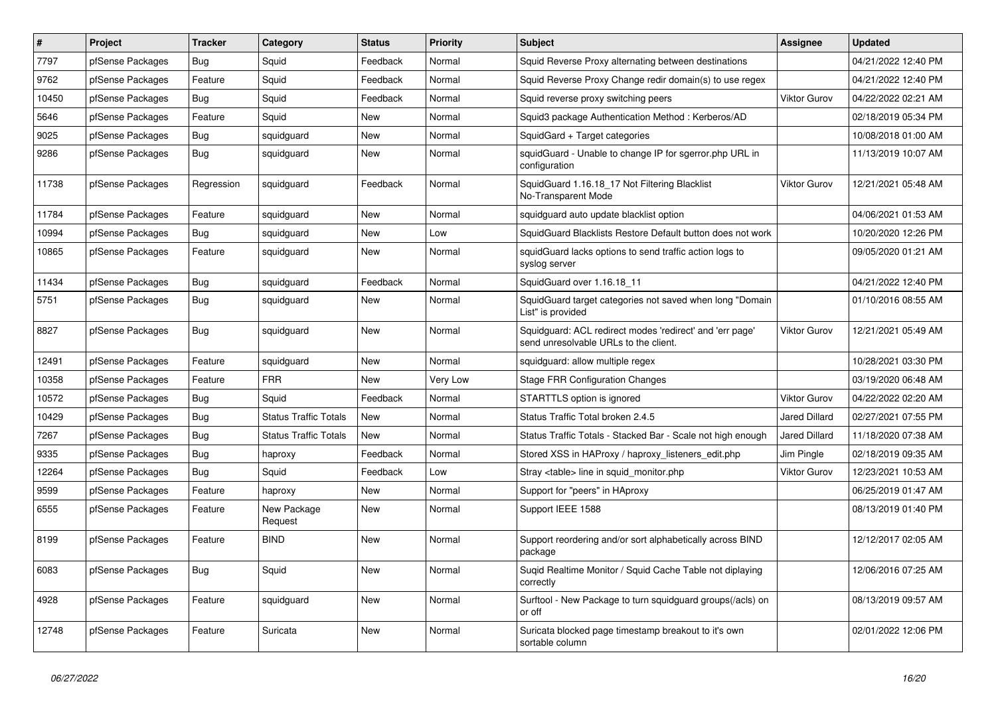| $\#$  | Project          | <b>Tracker</b> | Category                     | <b>Status</b> | <b>Priority</b> | <b>Subject</b>                                                                                    | Assignee             | <b>Updated</b>      |
|-------|------------------|----------------|------------------------------|---------------|-----------------|---------------------------------------------------------------------------------------------------|----------------------|---------------------|
| 7797  | pfSense Packages | <b>Bug</b>     | Squid                        | Feedback      | Normal          | Squid Reverse Proxy alternating between destinations                                              |                      | 04/21/2022 12:40 PM |
| 9762  | pfSense Packages | Feature        | Squid                        | Feedback      | Normal          | Squid Reverse Proxy Change redir domain(s) to use regex                                           |                      | 04/21/2022 12:40 PM |
| 10450 | pfSense Packages | Bug            | Squid                        | Feedback      | Normal          | Squid reverse proxy switching peers                                                               | <b>Viktor Gurov</b>  | 04/22/2022 02:21 AM |
| 5646  | pfSense Packages | Feature        | Squid                        | New           | Normal          | Squid3 package Authentication Method: Kerberos/AD                                                 |                      | 02/18/2019 05:34 PM |
| 9025  | pfSense Packages | Bug            | squidguard                   | New           | Normal          | SquidGard + Target categories                                                                     |                      | 10/08/2018 01:00 AM |
| 9286  | pfSense Packages | <b>Bug</b>     | squidguard                   | <b>New</b>    | Normal          | squidGuard - Unable to change IP for sgerror.php URL in<br>configuration                          |                      | 11/13/2019 10:07 AM |
| 11738 | pfSense Packages | Regression     | squidguard                   | Feedback      | Normal          | SquidGuard 1.16.18 17 Not Filtering Blacklist<br>No-Transparent Mode                              | <b>Viktor Gurov</b>  | 12/21/2021 05:48 AM |
| 11784 | pfSense Packages | Feature        | squidguard                   | New           | Normal          | squidguard auto update blacklist option                                                           |                      | 04/06/2021 01:53 AM |
| 10994 | pfSense Packages | <b>Bug</b>     | squidguard                   | New           | Low             | SquidGuard Blacklists Restore Default button does not work                                        |                      | 10/20/2020 12:26 PM |
| 10865 | pfSense Packages | Feature        | squidguard                   | New           | Normal          | squidGuard lacks options to send traffic action logs to<br>syslog server                          |                      | 09/05/2020 01:21 AM |
| 11434 | pfSense Packages | <b>Bug</b>     | squidguard                   | Feedback      | Normal          | SquidGuard over 1.16.18_11                                                                        |                      | 04/21/2022 12:40 PM |
| 5751  | pfSense Packages | <b>Bug</b>     | squidguard                   | <b>New</b>    | Normal          | SquidGuard target categories not saved when long "Domain<br>List" is provided                     |                      | 01/10/2016 08:55 AM |
| 8827  | pfSense Packages | Bug            | squidguard                   | New           | Normal          | Squidguard: ACL redirect modes 'redirect' and 'err page'<br>send unresolvable URLs to the client. | <b>Viktor Gurov</b>  | 12/21/2021 05:49 AM |
| 12491 | pfSense Packages | Feature        | squidguard                   | New           | Normal          | squidguard: allow multiple regex                                                                  |                      | 10/28/2021 03:30 PM |
| 10358 | pfSense Packages | Feature        | <b>FRR</b>                   | New           | Very Low        | Stage FRR Configuration Changes                                                                   |                      | 03/19/2020 06:48 AM |
| 10572 | pfSense Packages | <b>Bug</b>     | Squid                        | Feedback      | Normal          | STARTTLS option is ignored                                                                        | <b>Viktor Gurov</b>  | 04/22/2022 02:20 AM |
| 10429 | pfSense Packages | Bug            | <b>Status Traffic Totals</b> | <b>New</b>    | Normal          | Status Traffic Total broken 2.4.5                                                                 | <b>Jared Dillard</b> | 02/27/2021 07:55 PM |
| 7267  | pfSense Packages | Bug            | <b>Status Traffic Totals</b> | New           | Normal          | Status Traffic Totals - Stacked Bar - Scale not high enough                                       | <b>Jared Dillard</b> | 11/18/2020 07:38 AM |
| 9335  | pfSense Packages | <b>Bug</b>     | haproxy                      | Feedback      | Normal          | Stored XSS in HAProxy / haproxy_listeners_edit.php                                                | Jim Pingle           | 02/18/2019 09:35 AM |
| 12264 | pfSense Packages | <b>Bug</b>     | Squid                        | Feedback      | Low             | Stray <table> line in squid monitor.php</table>                                                   | <b>Viktor Gurov</b>  | 12/23/2021 10:53 AM |
| 9599  | pfSense Packages | Feature        | haproxy                      | <b>New</b>    | Normal          | Support for "peers" in HAproxy                                                                    |                      | 06/25/2019 01:47 AM |
| 6555  | pfSense Packages | Feature        | New Package<br>Request       | New           | Normal          | Support IEEE 1588                                                                                 |                      | 08/13/2019 01:40 PM |
| 8199  | pfSense Packages | Feature        | <b>BIND</b>                  | <b>New</b>    | Normal          | Support reordering and/or sort alphabetically across BIND<br>package                              |                      | 12/12/2017 02:05 AM |
| 6083  | pfSense Packages | Bug            | Squid                        | <b>New</b>    | Normal          | Suqid Realtime Monitor / Squid Cache Table not diplaying<br>correctly                             |                      | 12/06/2016 07:25 AM |
| 4928  | pfSense Packages | Feature        | squidguard                   | <b>New</b>    | Normal          | Surftool - New Package to turn squidguard groups(/acls) on<br>or off                              |                      | 08/13/2019 09:57 AM |
| 12748 | pfSense Packages | Feature        | Suricata                     | <b>New</b>    | Normal          | Suricata blocked page timestamp breakout to it's own<br>sortable column                           |                      | 02/01/2022 12:06 PM |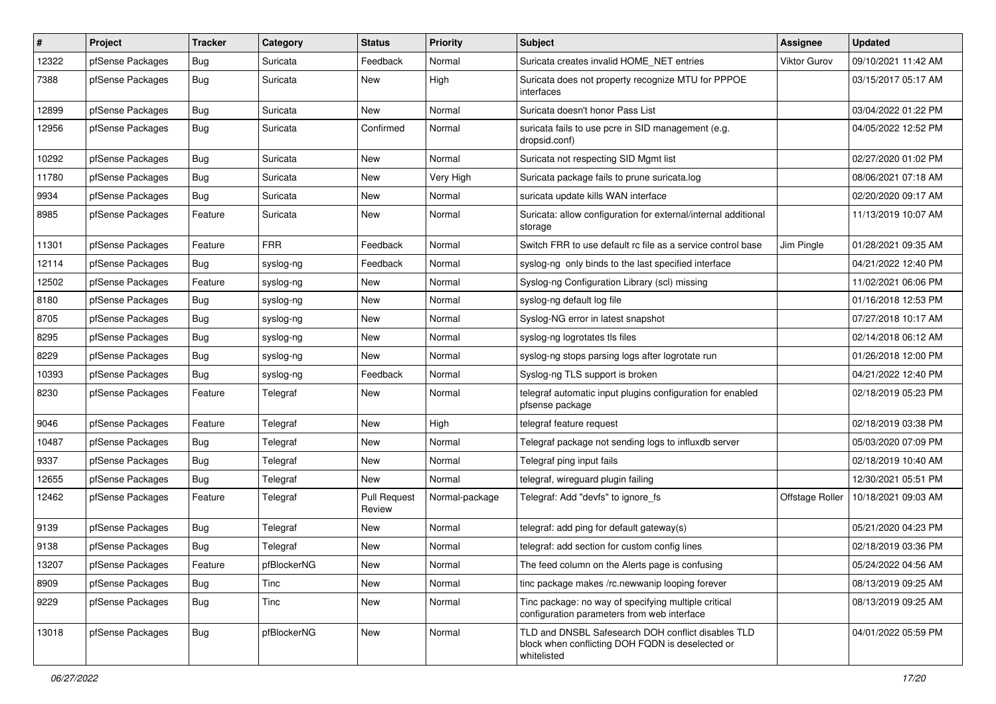| #     | Project          | <b>Tracker</b> | Category    | <b>Status</b>                 | <b>Priority</b> | Subject                                                                                                               | Assignee            | <b>Updated</b>      |
|-------|------------------|----------------|-------------|-------------------------------|-----------------|-----------------------------------------------------------------------------------------------------------------------|---------------------|---------------------|
| 12322 | pfSense Packages | <b>Bug</b>     | Suricata    | Feedback                      | Normal          | Suricata creates invalid HOME_NET entries                                                                             | <b>Viktor Gurov</b> | 09/10/2021 11:42 AM |
| 7388  | pfSense Packages | <b>Bug</b>     | Suricata    | <b>New</b>                    | High            | Suricata does not property recognize MTU for PPPOE<br>interfaces                                                      |                     | 03/15/2017 05:17 AM |
| 12899 | pfSense Packages | <b>Bug</b>     | Suricata    | <b>New</b>                    | Normal          | Suricata doesn't honor Pass List                                                                                      |                     | 03/04/2022 01:22 PM |
| 12956 | pfSense Packages | Bug            | Suricata    | Confirmed                     | Normal          | suricata fails to use pcre in SID management (e.g.<br>dropsid.conf)                                                   |                     | 04/05/2022 12:52 PM |
| 10292 | pfSense Packages | <b>Bug</b>     | Suricata    | New                           | Normal          | Suricata not respecting SID Mgmt list                                                                                 |                     | 02/27/2020 01:02 PM |
| 11780 | pfSense Packages | <b>Bug</b>     | Suricata    | New                           | Very High       | Suricata package fails to prune suricata.log                                                                          |                     | 08/06/2021 07:18 AM |
| 9934  | pfSense Packages | <b>Bug</b>     | Suricata    | New                           | Normal          | suricata update kills WAN interface                                                                                   |                     | 02/20/2020 09:17 AM |
| 8985  | pfSense Packages | Feature        | Suricata    | <b>New</b>                    | Normal          | Suricata: allow configuration for external/internal additional<br>storage                                             |                     | 11/13/2019 10:07 AM |
| 11301 | pfSense Packages | Feature        | <b>FRR</b>  | Feedback                      | Normal          | Switch FRR to use default rc file as a service control base                                                           | Jim Pingle          | 01/28/2021 09:35 AM |
| 12114 | pfSense Packages | Bug            | syslog-ng   | Feedback                      | Normal          | syslog-ng only binds to the last specified interface                                                                  |                     | 04/21/2022 12:40 PM |
| 12502 | pfSense Packages | Feature        | syslog-ng   | New                           | Normal          | Syslog-ng Configuration Library (scl) missing                                                                         |                     | 11/02/2021 06:06 PM |
| 8180  | pfSense Packages | Bug            | syslog-ng   | New                           | Normal          | syslog-ng default log file                                                                                            |                     | 01/16/2018 12:53 PM |
| 8705  | pfSense Packages | <b>Bug</b>     | syslog-ng   | New                           | Normal          | Syslog-NG error in latest snapshot                                                                                    |                     | 07/27/2018 10:17 AM |
| 8295  | pfSense Packages | <b>Bug</b>     | syslog-ng   | New                           | Normal          | syslog-ng logrotates tls files                                                                                        |                     | 02/14/2018 06:12 AM |
| 8229  | pfSense Packages | Bug            | syslog-ng   | New                           | Normal          | syslog-ng stops parsing logs after logrotate run                                                                      |                     | 01/26/2018 12:00 PM |
| 10393 | pfSense Packages | <b>Bug</b>     | syslog-ng   | Feedback                      | Normal          | Syslog-ng TLS support is broken                                                                                       |                     | 04/21/2022 12:40 PM |
| 8230  | pfSense Packages | Feature        | Telegraf    | New                           | Normal          | telegraf automatic input plugins configuration for enabled<br>pfsense package                                         |                     | 02/18/2019 05:23 PM |
| 9046  | pfSense Packages | Feature        | Telegraf    | New                           | High            | telegraf feature request                                                                                              |                     | 02/18/2019 03:38 PM |
| 10487 | pfSense Packages | <b>Bug</b>     | Telegraf    | New                           | Normal          | Telegraf package not sending logs to influxdb server                                                                  |                     | 05/03/2020 07:09 PM |
| 9337  | pfSense Packages | <b>Bug</b>     | Telegraf    | New                           | Normal          | Telegraf ping input fails                                                                                             |                     | 02/18/2019 10:40 AM |
| 12655 | pfSense Packages | <b>Bug</b>     | Telegraf    | New                           | Normal          | telegraf, wireguard plugin failing                                                                                    |                     | 12/30/2021 05:51 PM |
| 12462 | pfSense Packages | Feature        | Telegraf    | <b>Pull Request</b><br>Review | Normal-package  | Telegraf: Add "devfs" to ignore fs                                                                                    | Offstage Roller     | 10/18/2021 09:03 AM |
| 9139  | pfSense Packages | <b>Bug</b>     | Telegraf    | New                           | Normal          | telegraf: add ping for default gateway(s)                                                                             |                     | 05/21/2020 04:23 PM |
| 9138  | pfSense Packages | <b>Bug</b>     | Telegraf    | New                           | Normal          | telegraf: add section for custom config lines                                                                         |                     | 02/18/2019 03:36 PM |
| 13207 | pfSense Packages | Feature        | pfBlockerNG | New                           | Normal          | The feed column on the Alerts page is confusing                                                                       |                     | 05/24/2022 04:56 AM |
| 8909  | pfSense Packages | Bug            | Tinc        | New                           | Normal          | tinc package makes /rc.newwanip looping forever                                                                       |                     | 08/13/2019 09:25 AM |
| 9229  | pfSense Packages | Bug            | Tinc        | New                           | Normal          | Tinc package: no way of specifying multiple critical<br>configuration parameters from web interface                   |                     | 08/13/2019 09:25 AM |
| 13018 | pfSense Packages | Bug            | pfBlockerNG | New                           | Normal          | TLD and DNSBL Safesearch DOH conflict disables TLD<br>block when conflicting DOH FQDN is deselected or<br>whitelisted |                     | 04/01/2022 05:59 PM |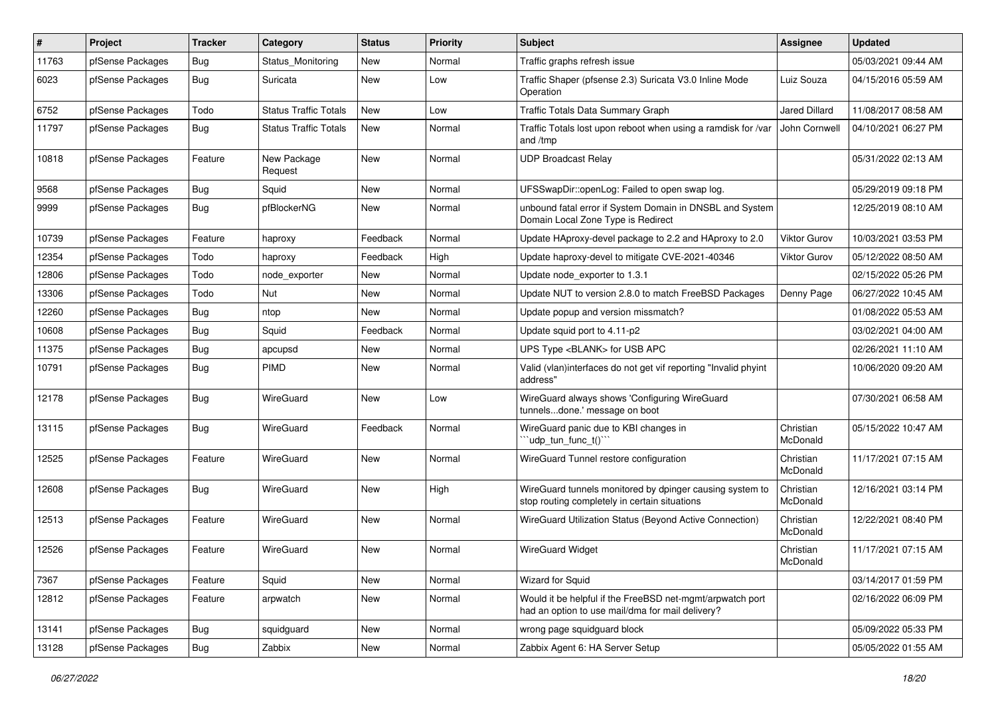| $\sharp$ | Project          | <b>Tracker</b> | Category                     | <b>Status</b> | <b>Priority</b> | Subject                                                                                                       | <b>Assignee</b>       | <b>Updated</b>      |
|----------|------------------|----------------|------------------------------|---------------|-----------------|---------------------------------------------------------------------------------------------------------------|-----------------------|---------------------|
| 11763    | pfSense Packages | <b>Bug</b>     | Status Monitoring            | New           | Normal          | Traffic graphs refresh issue                                                                                  |                       | 05/03/2021 09:44 AM |
| 6023     | pfSense Packages | <b>Bug</b>     | Suricata                     | New           | Low             | Traffic Shaper (pfsense 2.3) Suricata V3.0 Inline Mode<br>Operation                                           | Luiz Souza            | 04/15/2016 05:59 AM |
| 6752     | pfSense Packages | Todo           | <b>Status Traffic Totals</b> | New           | Low             | Traffic Totals Data Summary Graph                                                                             | <b>Jared Dillard</b>  | 11/08/2017 08:58 AM |
| 11797    | pfSense Packages | Bug            | <b>Status Traffic Totals</b> | <b>New</b>    | Normal          | Traffic Totals lost upon reboot when using a ramdisk for /var<br>and /tmp                                     | John Cornwell         | 04/10/2021 06:27 PM |
| 10818    | pfSense Packages | Feature        | New Package<br>Request       | New           | Normal          | <b>UDP Broadcast Relay</b>                                                                                    |                       | 05/31/2022 02:13 AM |
| 9568     | pfSense Packages | <b>Bug</b>     | Squid                        | New           | Normal          | UFSSwapDir::openLog: Failed to open swap log.                                                                 |                       | 05/29/2019 09:18 PM |
| 9999     | pfSense Packages | Bug            | pfBlockerNG                  | New           | Normal          | unbound fatal error if System Domain in DNSBL and System<br>Domain Local Zone Type is Redirect                |                       | 12/25/2019 08:10 AM |
| 10739    | pfSense Packages | Feature        | haproxy                      | Feedback      | Normal          | Update HAproxy-devel package to 2.2 and HAproxy to 2.0                                                        | <b>Viktor Gurov</b>   | 10/03/2021 03:53 PM |
| 12354    | pfSense Packages | Todo           | haproxy                      | Feedback      | High            | Update haproxy-devel to mitigate CVE-2021-40346                                                               | <b>Viktor Gurov</b>   | 05/12/2022 08:50 AM |
| 12806    | pfSense Packages | Todo           | node exporter                | New           | Normal          | Update node exporter to 1.3.1                                                                                 |                       | 02/15/2022 05:26 PM |
| 13306    | pfSense Packages | Todo           | Nut                          | New           | Normal          | Update NUT to version 2.8.0 to match FreeBSD Packages                                                         | Denny Page            | 06/27/2022 10:45 AM |
| 12260    | pfSense Packages | Bug            | ntop                         | New           | Normal          | Update popup and version missmatch?                                                                           |                       | 01/08/2022 05:53 AM |
| 10608    | pfSense Packages | <b>Bug</b>     | Squid                        | Feedback      | Normal          | Update squid port to 4.11-p2                                                                                  |                       | 03/02/2021 04:00 AM |
| 11375    | pfSense Packages | <b>Bug</b>     | apcupsd                      | New           | Normal          | UPS Type <blank> for USB APC</blank>                                                                          |                       | 02/26/2021 11:10 AM |
| 10791    | pfSense Packages | <b>Bug</b>     | <b>PIMD</b>                  | New           | Normal          | Valid (vlan)interfaces do not get vif reporting "Invalid phyint<br>address"                                   |                       | 10/06/2020 09:20 AM |
| 12178    | pfSense Packages | Bug            | WireGuard                    | New           | Low             | WireGuard always shows 'Configuring WireGuard<br>tunnelsdone.' message on boot                                |                       | 07/30/2021 06:58 AM |
| 13115    | pfSense Packages | <b>Bug</b>     | WireGuard                    | Feedback      | Normal          | WireGuard panic due to KBI changes in<br>"udp_tun_func_t()"                                                   | Christian<br>McDonald | 05/15/2022 10:47 AM |
| 12525    | pfSense Packages | Feature        | WireGuard                    | New           | Normal          | WireGuard Tunnel restore configuration                                                                        | Christian<br>McDonald | 11/17/2021 07:15 AM |
| 12608    | pfSense Packages | Bug            | WireGuard                    | New           | High            | WireGuard tunnels monitored by dpinger causing system to<br>stop routing completely in certain situations     | Christian<br>McDonald | 12/16/2021 03:14 PM |
| 12513    | pfSense Packages | Feature        | WireGuard                    | New           | Normal          | WireGuard Utilization Status (Beyond Active Connection)                                                       | Christian<br>McDonald | 12/22/2021 08:40 PM |
| 12526    | pfSense Packages | Feature        | WireGuard                    | New           | Normal          | <b>WireGuard Widget</b>                                                                                       | Christian<br>McDonald | 11/17/2021 07:15 AM |
| 7367     | pfSense Packages | Feature        | Squid                        | New           | Normal          | Wizard for Squid                                                                                              |                       | 03/14/2017 01:59 PM |
| 12812    | pfSense Packages | Feature        | arpwatch                     | New           | Normal          | Would it be helpful if the FreeBSD net-mgmt/arpwatch port<br>had an option to use mail/dma for mail delivery? |                       | 02/16/2022 06:09 PM |
| 13141    | pfSense Packages | <b>Bug</b>     | squidguard                   | New           | Normal          | wrong page squidguard block                                                                                   |                       | 05/09/2022 05:33 PM |
| 13128    | pfSense Packages | Bug            | Zabbix                       | New           | Normal          | Zabbix Agent 6: HA Server Setup                                                                               |                       | 05/05/2022 01:55 AM |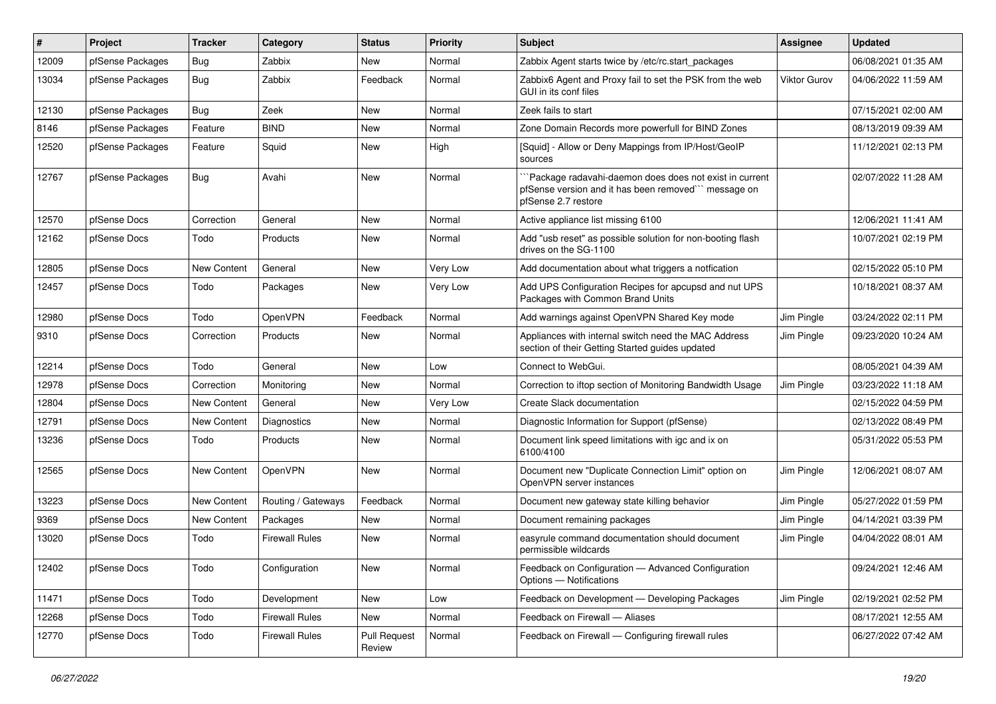| #     | Project          | <b>Tracker</b>     | Category              | <b>Status</b>                 | <b>Priority</b> | Subject                                                                                                                               | <b>Assignee</b> | <b>Updated</b>      |
|-------|------------------|--------------------|-----------------------|-------------------------------|-----------------|---------------------------------------------------------------------------------------------------------------------------------------|-----------------|---------------------|
| 12009 | pfSense Packages | Bug                | Zabbix                | New                           | Normal          | Zabbix Agent starts twice by /etc/rc.start_packages                                                                                   |                 | 06/08/2021 01:35 AM |
| 13034 | pfSense Packages | Bug                | Zabbix                | Feedback                      | Normal          | Zabbix6 Agent and Proxy fail to set the PSK from the web<br>GUI in its conf files                                                     | Viktor Gurov    | 04/06/2022 11:59 AM |
| 12130 | pfSense Packages | <b>Bug</b>         | Zeek                  | New                           | Normal          | Zeek fails to start                                                                                                                   |                 | 07/15/2021 02:00 AM |
| 8146  | pfSense Packages | Feature            | <b>BIND</b>           | New                           | Normal          | Zone Domain Records more powerfull for BIND Zones                                                                                     |                 | 08/13/2019 09:39 AM |
| 12520 | pfSense Packages | Feature            | Squid                 | New                           | High            | [Squid] - Allow or Deny Mappings from IP/Host/GeoIP<br>sources                                                                        |                 | 11/12/2021 02:13 PM |
| 12767 | pfSense Packages | Bug                | Avahi                 | New                           | Normal          | `Package radavahi-daemon does does not exist in current<br>pfSense version and it has been removed" message on<br>pfSense 2.7 restore |                 | 02/07/2022 11:28 AM |
| 12570 | pfSense Docs     | Correction         | General               | New                           | Normal          | Active appliance list missing 6100                                                                                                    |                 | 12/06/2021 11:41 AM |
| 12162 | pfSense Docs     | Todo               | Products              | New                           | Normal          | Add "usb reset" as possible solution for non-booting flash<br>drives on the SG-1100                                                   |                 | 10/07/2021 02:19 PM |
| 12805 | pfSense Docs     | New Content        | General               | New                           | Very Low        | Add documentation about what triggers a notfication                                                                                   |                 | 02/15/2022 05:10 PM |
| 12457 | pfSense Docs     | Todo               | Packages              | New                           | Very Low        | Add UPS Configuration Recipes for apcupsd and nut UPS<br>Packages with Common Brand Units                                             |                 | 10/18/2021 08:37 AM |
| 12980 | pfSense Docs     | Todo               | OpenVPN               | Feedback                      | Normal          | Add warnings against OpenVPN Shared Key mode                                                                                          | Jim Pingle      | 03/24/2022 02:11 PM |
| 9310  | pfSense Docs     | Correction         | Products              | New                           | Normal          | Appliances with internal switch need the MAC Address<br>section of their Getting Started guides updated                               | Jim Pingle      | 09/23/2020 10:24 AM |
| 12214 | pfSense Docs     | Todo               | General               | New                           | Low             | Connect to WebGui.                                                                                                                    |                 | 08/05/2021 04:39 AM |
| 12978 | pfSense Docs     | Correction         | Monitoring            | New                           | Normal          | Correction to iftop section of Monitoring Bandwidth Usage                                                                             | Jim Pingle      | 03/23/2022 11:18 AM |
| 12804 | pfSense Docs     | New Content        | General               | New                           | Very Low        | Create Slack documentation                                                                                                            |                 | 02/15/2022 04:59 PM |
| 12791 | pfSense Docs     | New Content        | Diagnostics           | New                           | Normal          | Diagnostic Information for Support (pfSense)                                                                                          |                 | 02/13/2022 08:49 PM |
| 13236 | pfSense Docs     | Todo               | Products              | New                           | Normal          | Document link speed limitations with igc and ix on<br>6100/4100                                                                       |                 | 05/31/2022 05:53 PM |
| 12565 | pfSense Docs     | <b>New Content</b> | OpenVPN               | New                           | Normal          | Document new "Duplicate Connection Limit" option on<br>OpenVPN server instances                                                       | Jim Pingle      | 12/06/2021 08:07 AM |
| 13223 | pfSense Docs     | New Content        | Routing / Gateways    | Feedback                      | Normal          | Document new gateway state killing behavior                                                                                           | Jim Pingle      | 05/27/2022 01:59 PM |
| 9369  | pfSense Docs     | New Content        | Packages              | New                           | Normal          | Document remaining packages                                                                                                           | Jim Pingle      | 04/14/2021 03:39 PM |
| 13020 | pfSense Docs     | Todo               | <b>Firewall Rules</b> | New                           | Normal          | easyrule command documentation should document<br>permissible wildcards                                                               | Jim Pingle      | 04/04/2022 08:01 AM |
| 12402 | pfSense Docs     | Todo               | Configuration         | New                           | Normal          | Feedback on Configuration - Advanced Configuration<br>Options - Notifications                                                         |                 | 09/24/2021 12:46 AM |
| 11471 | pfSense Docs     | Todo               | Development           | <b>New</b>                    | Low             | Feedback on Development - Developing Packages                                                                                         | Jim Pingle      | 02/19/2021 02:52 PM |
| 12268 | pfSense Docs     | Todo               | <b>Firewall Rules</b> | New                           | Normal          | Feedback on Firewall - Aliases                                                                                                        |                 | 08/17/2021 12:55 AM |
| 12770 | pfSense Docs     | Todo               | <b>Firewall Rules</b> | <b>Pull Request</b><br>Review | Normal          | Feedback on Firewall - Configuring firewall rules                                                                                     |                 | 06/27/2022 07:42 AM |